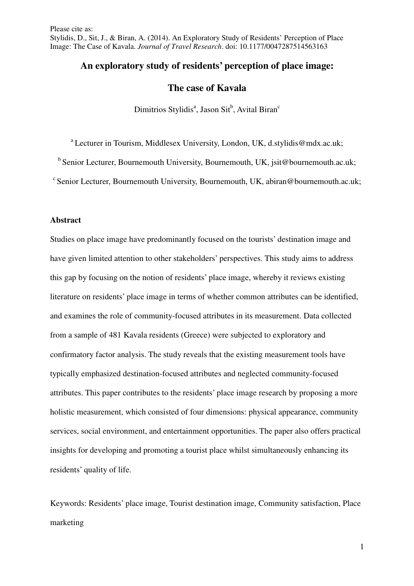## **An exploratory study of residents' perception of place image:**

# **The case of Kavala**

Dimitrios Stylidis<sup>a</sup>, Jason Sit<sup>b</sup>, Avital Biran<sup>c</sup>

<sup>a</sup> Lecturer in Tourism, Middlesex University, London, UK, d.stylidis@mdx.ac.uk:

 $<sup>b</sup>$  Senior Lecturer, Bournemouth University, Bournemouth, UK, isit@bournemouth.ac.uk;</sup>

 $\textdegree$  Senior Lecturer, Bournemouth University, Bournemouth, UK, abiran@bournemouth.ac.uk;

## **Abstract**

Studies on place image have predominantly focused on the tourists' destination image and have given limited attention to other stakeholders' perspectives. This study aims to address this gap by focusing on the notion of residents' place image, whereby it reviews existing literature on residents' place image in terms of whether common attributes can be identified, and examines the role of community-focused attributes in its measurement. Data collected from a sample of 481 Kavala residents (Greece) were subjected to exploratory and confirmatory factor analysis. The study reveals that the existing measurement tools have typically emphasized destination-focused attributes and neglected community-focused attributes. This paper contributes to the residents' place image research by proposing a more holistic measurement, which consisted of four dimensions: physical appearance, community services, social environment, and entertainment opportunities. The paper also offers practical insights for developing and promoting a tourist place whilst simultaneously enhancing its residents' quality of life.

Keywords: Residents' place image, Tourist destination image, Community satisfaction, Place marketing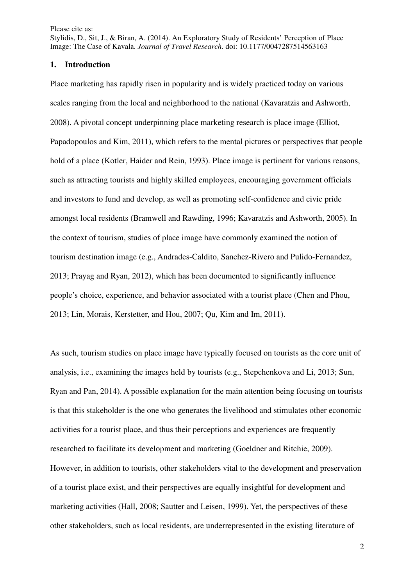Stylidis, D., Sit, J., & Biran, A. (2014). An Exploratory Study of Residents' Perception of Place Image: The Case of Kavala. *Journal of Travel Research*. doi: 10.1177/0047287514563163

## **1. Introduction**

Place marketing has rapidly risen in popularity and is widely practiced today on various scales ranging from the local and neighborhood to the national (Kavaratzis and Ashworth, 2008). A pivotal concept underpinning place marketing research is place image (Elliot, Papadopoulos and Kim, 2011), which refers to the mental pictures or perspectives that people hold of a place (Kotler, Haider and Rein, 1993). Place image is pertinent for various reasons, such as attracting tourists and highly skilled employees, encouraging government officials and investors to fund and develop, as well as promoting self-confidence and civic pride amongst local residents (Bramwell and Rawding, 1996; Kavaratzis and Ashworth, 2005). In the context of tourism, studies of place image have commonly examined the notion of tourism destination image (e.g., Andrades-Caldito, Sanchez-Rivero and Pulido-Fernandez, 2013; Prayag and Ryan, 2012), which has been documented to significantly influence people's choice, experience, and behavior associated with a tourist place (Chen and Phou, 2013; Lin, Morais, Kerstetter, and Hou, 2007; Qu, Kim and Im, 2011).

As such, tourism studies on place image have typically focused on tourists as the core unit of analysis, i.e., examining the images held by tourists (e.g., Stepchenkova and Li, 2013; Sun, Ryan and Pan, 2014). A possible explanation for the main attention being focusing on tourists is that this stakeholder is the one who generates the livelihood and stimulates other economic activities for a tourist place, and thus their perceptions and experiences are frequently researched to facilitate its development and marketing (Goeldner and Ritchie, 2009). However, in addition to tourists, other stakeholders vital to the development and preservation of a tourist place exist, and their perspectives are equally insightful for development and marketing activities (Hall, 2008; Sautter and Leisen, 1999). Yet, the perspectives of these other stakeholders, such as local residents, are underrepresented in the existing literature of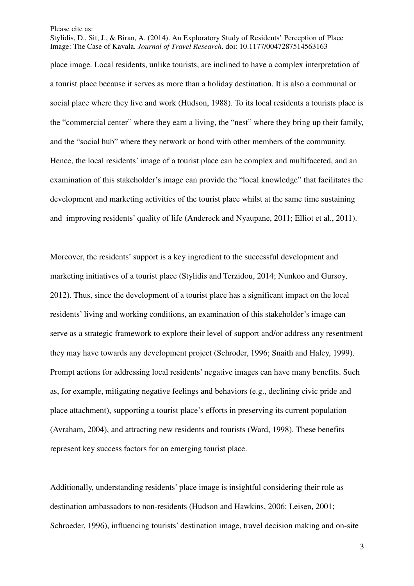Stylidis, D., Sit, J., & Biran, A. (2014). An Exploratory Study of Residents' Perception of Place Image: The Case of Kavala. *Journal of Travel Research*. doi: 10.1177/0047287514563163

place image. Local residents, unlike tourists, are inclined to have a complex interpretation of a tourist place because it serves as more than a holiday destination. It is also a communal or social place where they live and work (Hudson, 1988). To its local residents a tourists place is the "commercial center" where they earn a living, the "nest" where they bring up their family, and the "social hub" where they network or bond with other members of the community. Hence, the local residents' image of a tourist place can be complex and multifaceted, and an examination of this stakeholder's image can provide the "local knowledge" that facilitates the development and marketing activities of the tourist place whilst at the same time sustaining and improving residents' quality of life (Andereck and Nyaupane, 2011; Elliot et al., 2011).

Moreover, the residents' support is a key ingredient to the successful development and marketing initiatives of a tourist place (Stylidis and Terzidou, 2014; Nunkoo and Gursoy, 2012). Thus, since the development of a tourist place has a significant impact on the local residents' living and working conditions, an examination of this stakeholder's image can serve as a strategic framework to explore their level of support and/or address any resentment they may have towards any development project (Schroder, 1996; Snaith and Haley, 1999). Prompt actions for addressing local residents' negative images can have many benefits. Such as, for example, mitigating negative feelings and behaviors (e.g., declining civic pride and place attachment), supporting a tourist place's efforts in preserving its current population (Avraham, 2004), and attracting new residents and tourists (Ward, 1998). These benefits represent key success factors for an emerging tourist place.

Additionally, understanding residents' place image is insightful considering their role as destination ambassadors to non-residents (Hudson and Hawkins, 2006; Leisen, 2001; Schroeder, 1996), influencing tourists' destination image, travel decision making and on-site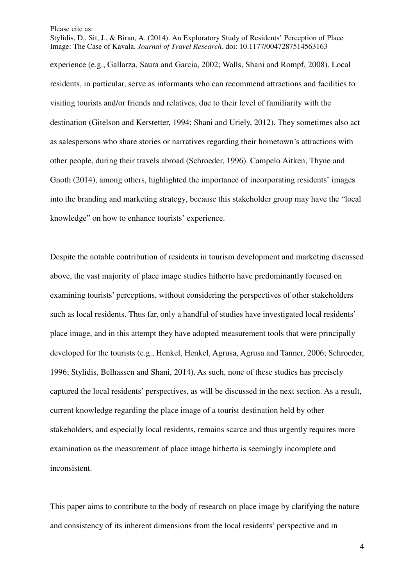Stylidis, D., Sit, J., & Biran, A. (2014). An Exploratory Study of Residents' Perception of Place Image: The Case of Kavala. *Journal of Travel Research*. doi: 10.1177/0047287514563163 experience (e.g., Gallarza, Saura and Garcia, 2002; Walls, Shani and Rompf, 2008). Local residents, in particular, serve as informants who can recommend attractions and facilities to visiting tourists and/or friends and relatives, due to their level of familiarity with the destination (Gitelson and Kerstetter, 1994; Shani and Uriely, 2012). They sometimes also act as salespersons who share stories or narratives regarding their hometown's attractions with other people, during their travels abroad (Schroeder, 1996). Campelo Aitken, Thyne and Gnoth (2014), among others, highlighted the importance of incorporating residents' images into the branding and marketing strategy, because this stakeholder group may have the "local knowledge" on how to enhance tourists' experience.

Despite the notable contribution of residents in tourism development and marketing discussed above, the vast majority of place image studies hitherto have predominantly focused on examining tourists' perceptions, without considering the perspectives of other stakeholders such as local residents. Thus far, only a handful of studies have investigated local residents' place image, and in this attempt they have adopted measurement tools that were principally developed for the tourists (e.g., Henkel, Henkel, Agrusa, Agrusa and Tanner, 2006; Schroeder, 1996; Stylidis, Belhassen and Shani, 2014). As such, none of these studies has precisely captured the local residents' perspectives, as will be discussed in the next section. As a result, current knowledge regarding the place image of a tourist destination held by other stakeholders, and especially local residents, remains scarce and thus urgently requires more examination as the measurement of place image hitherto is seemingly incomplete and inconsistent.

This paper aims to contribute to the body of research on place image by clarifying the nature and consistency of its inherent dimensions from the local residents' perspective and in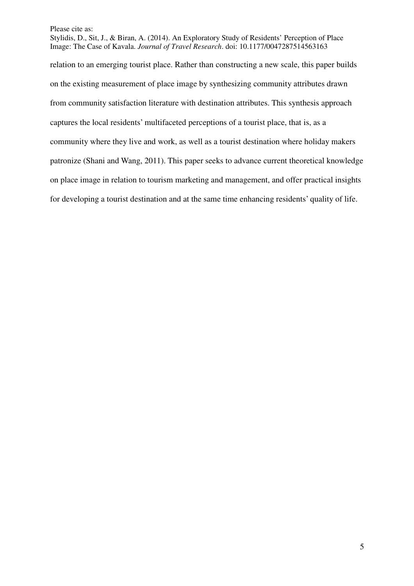Stylidis, D., Sit, J., & Biran, A. (2014). An Exploratory Study of Residents' Perception of Place Image: The Case of Kavala. *Journal of Travel Research*. doi: 10.1177/0047287514563163

relation to an emerging tourist place. Rather than constructing a new scale, this paper builds on the existing measurement of place image by synthesizing community attributes drawn from community satisfaction literature with destination attributes. This synthesis approach captures the local residents' multifaceted perceptions of a tourist place, that is, as a community where they live and work, as well as a tourist destination where holiday makers patronize (Shani and Wang, 2011). This paper seeks to advance current theoretical knowledge on place image in relation to tourism marketing and management, and offer practical insights for developing a tourist destination and at the same time enhancing residents' quality of life.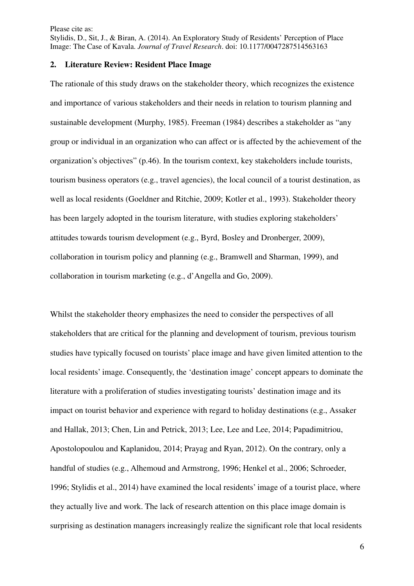Stylidis, D., Sit, J., & Biran, A. (2014). An Exploratory Study of Residents' Perception of Place Image: The Case of Kavala. *Journal of Travel Research*. doi: 10.1177/0047287514563163

### **2. Literature Review: Resident Place Image**

The rationale of this study draws on the stakeholder theory, which recognizes the existence and importance of various stakeholders and their needs in relation to tourism planning and sustainable development (Murphy, 1985). Freeman (1984) describes a stakeholder as "any group or individual in an organization who can affect or is affected by the achievement of the organization's objectives" (p.46). In the tourism context, key stakeholders include tourists, tourism business operators (e.g., travel agencies), the local council of a tourist destination, as well as local residents (Goeldner and Ritchie, 2009; Kotler et al., 1993). Stakeholder theory has been largely adopted in the tourism literature, with studies exploring stakeholders' attitudes towards tourism development (e.g., Byrd, Bosley and Dronberger, 2009), collaboration in tourism policy and planning (e.g., Bramwell and Sharman, 1999), and collaboration in tourism marketing (e.g., d'Angella and Go, 2009).

Whilst the stakeholder theory emphasizes the need to consider the perspectives of all stakeholders that are critical for the planning and development of tourism, previous tourism studies have typically focused on tourists' place image and have given limited attention to the local residents' image. Consequently, the 'destination image' concept appears to dominate the literature with a proliferation of studies investigating tourists' destination image and its impact on tourist behavior and experience with regard to holiday destinations (e.g., Assaker and Hallak, 2013; Chen, Lin and Petrick, 2013; Lee, Lee and Lee, 2014; Papadimitriou, Apostolopoulou and Kaplanidou, 2014; Prayag and Ryan, 2012). On the contrary, only a handful of studies (e.g., Alhemoud and Armstrong, 1996; Henkel et al., 2006; Schroeder, 1996; Stylidis et al., 2014) have examined the local residents' image of a tourist place, where they actually live and work. The lack of research attention on this place image domain is surprising as destination managers increasingly realize the significant role that local residents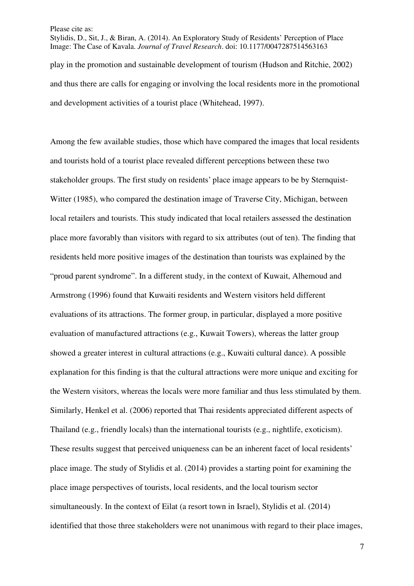Stylidis, D., Sit, J., & Biran, A. (2014). An Exploratory Study of Residents' Perception of Place Image: The Case of Kavala. *Journal of Travel Research*. doi: 10.1177/0047287514563163 play in the promotion and sustainable development of tourism (Hudson and Ritchie, 2002) and thus there are calls for engaging or involving the local residents more in the promotional and development activities of a tourist place (Whitehead, 1997).

Among the few available studies, those which have compared the images that local residents and tourists hold of a tourist place revealed different perceptions between these two stakeholder groups. The first study on residents' place image appears to be by Sternquist-Witter (1985), who compared the destination image of Traverse City, Michigan, between local retailers and tourists. This study indicated that local retailers assessed the destination place more favorably than visitors with regard to six attributes (out of ten). The finding that residents held more positive images of the destination than tourists was explained by the "proud parent syndrome". In a different study, in the context of Kuwait, Alhemoud and Armstrong (1996) found that Kuwaiti residents and Western visitors held different evaluations of its attractions. The former group, in particular, displayed a more positive evaluation of manufactured attractions (e.g., Kuwait Towers), whereas the latter group showed a greater interest in cultural attractions (e.g., Kuwaiti cultural dance). A possible explanation for this finding is that the cultural attractions were more unique and exciting for the Western visitors, whereas the locals were more familiar and thus less stimulated by them. Similarly, Henkel et al. (2006) reported that Thai residents appreciated different aspects of Thailand (e.g., friendly locals) than the international tourists (e.g., nightlife, exoticism). These results suggest that perceived uniqueness can be an inherent facet of local residents' place image. The study of Stylidis et al. (2014) provides a starting point for examining the place image perspectives of tourists, local residents, and the local tourism sector simultaneously. In the context of Eilat (a resort town in Israel), Stylidis et al. (2014) identified that those three stakeholders were not unanimous with regard to their place images,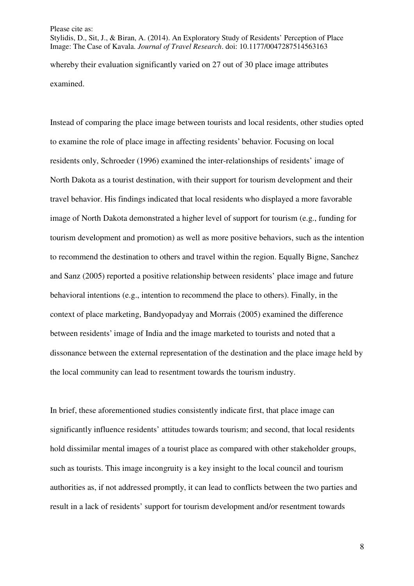Stylidis, D., Sit, J., & Biran, A. (2014). An Exploratory Study of Residents' Perception of Place Image: The Case of Kavala. *Journal of Travel Research*. doi: 10.1177/0047287514563163 whereby their evaluation significantly varied on 27 out of 30 place image attributes examined.

Instead of comparing the place image between tourists and local residents, other studies opted to examine the role of place image in affecting residents' behavior. Focusing on local residents only, Schroeder (1996) examined the inter-relationships of residents' image of North Dakota as a tourist destination, with their support for tourism development and their travel behavior. His findings indicated that local residents who displayed a more favorable image of North Dakota demonstrated a higher level of support for tourism (e.g., funding for tourism development and promotion) as well as more positive behaviors, such as the intention to recommend the destination to others and travel within the region. Equally Bigne, Sanchez and Sanz (2005) reported a positive relationship between residents' place image and future behavioral intentions (e.g., intention to recommend the place to others). Finally, in the context of place marketing, Bandyopadyay and Morrais (2005) examined the difference between residents' image of India and the image marketed to tourists and noted that a dissonance between the external representation of the destination and the place image held by the local community can lead to resentment towards the tourism industry.

In brief, these aforementioned studies consistently indicate first, that place image can significantly influence residents' attitudes towards tourism; and second, that local residents hold dissimilar mental images of a tourist place as compared with other stakeholder groups, such as tourists. This image incongruity is a key insight to the local council and tourism authorities as, if not addressed promptly, it can lead to conflicts between the two parties and result in a lack of residents' support for tourism development and/or resentment towards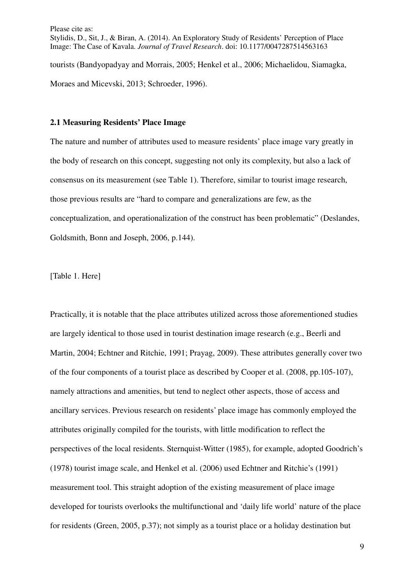Please cite as: Stylidis, D., Sit, J., & Biran, A. (2014). An Exploratory Study of Residents' Perception of Place Image: The Case of Kavala. *Journal of Travel Research*. doi: 10.1177/0047287514563163 tourists (Bandyopadyay and Morrais, 2005; Henkel et al., 2006; Michaelidou, Siamagka, Moraes and Micevski, 2013; Schroeder, 1996).

## **2.1 Measuring Residents' Place Image**

The nature and number of attributes used to measure residents' place image vary greatly in the body of research on this concept, suggesting not only its complexity, but also a lack of consensus on its measurement (see Table 1). Therefore, similar to tourist image research, those previous results are "hard to compare and generalizations are few, as the conceptualization, and operationalization of the construct has been problematic" (Deslandes, Goldsmith, Bonn and Joseph, 2006, p.144).

[Table 1. Here]

Practically, it is notable that the place attributes utilized across those aforementioned studies are largely identical to those used in tourist destination image research (e.g., Beerli and Martin, 2004; Echtner and Ritchie, 1991; Prayag, 2009). These attributes generally cover two of the four components of a tourist place as described by Cooper et al. (2008, pp.105-107), namely attractions and amenities, but tend to neglect other aspects, those of access and ancillary services. Previous research on residents' place image has commonly employed the attributes originally compiled for the tourists, with little modification to reflect the perspectives of the local residents. Sternquist-Witter (1985), for example, adopted Goodrich's (1978) tourist image scale, and Henkel et al. (2006) used Echtner and Ritchie's (1991) measurement tool. This straight adoption of the existing measurement of place image developed for tourists overlooks the multifunctional and 'daily life world' nature of the place for residents (Green, 2005, p.37); not simply as a tourist place or a holiday destination but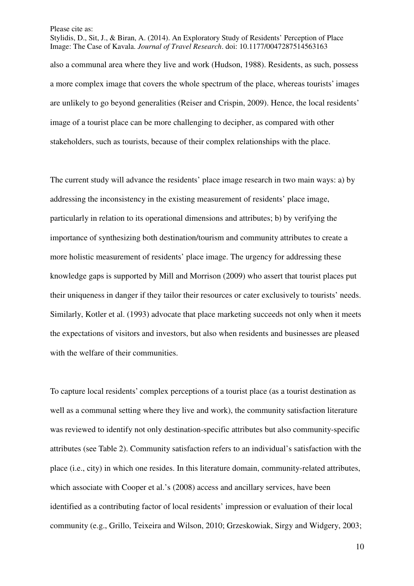Stylidis, D., Sit, J., & Biran, A. (2014). An Exploratory Study of Residents' Perception of Place Image: The Case of Kavala. *Journal of Travel Research*. doi: 10.1177/0047287514563163 also a communal area where they live and work (Hudson, 1988). Residents, as such, possess

a more complex image that covers the whole spectrum of the place, whereas tourists' images are unlikely to go beyond generalities (Reiser and Crispin, 2009). Hence, the local residents' image of a tourist place can be more challenging to decipher, as compared with other stakeholders, such as tourists, because of their complex relationships with the place.

The current study will advance the residents' place image research in two main ways: a) by addressing the inconsistency in the existing measurement of residents' place image, particularly in relation to its operational dimensions and attributes; b) by verifying the importance of synthesizing both destination/tourism and community attributes to create a more holistic measurement of residents' place image. The urgency for addressing these knowledge gaps is supported by Mill and Morrison (2009) who assert that tourist places put their uniqueness in danger if they tailor their resources or cater exclusively to tourists' needs. Similarly, Kotler et al. (1993) advocate that place marketing succeeds not only when it meets the expectations of visitors and investors, but also when residents and businesses are pleased with the welfare of their communities.

To capture local residents' complex perceptions of a tourist place (as a tourist destination as well as a communal setting where they live and work), the community satisfaction literature was reviewed to identify not only destination-specific attributes but also community-specific attributes (see Table 2). Community satisfaction refers to an individual's satisfaction with the place (i.e., city) in which one resides. In this literature domain, community-related attributes, which associate with Cooper et al.'s (2008) access and ancillary services, have been identified as a contributing factor of local residents' impression or evaluation of their local community (e.g., Grillo, Teixeira and Wilson, 2010; Grzeskowiak, Sirgy and Widgery, 2003;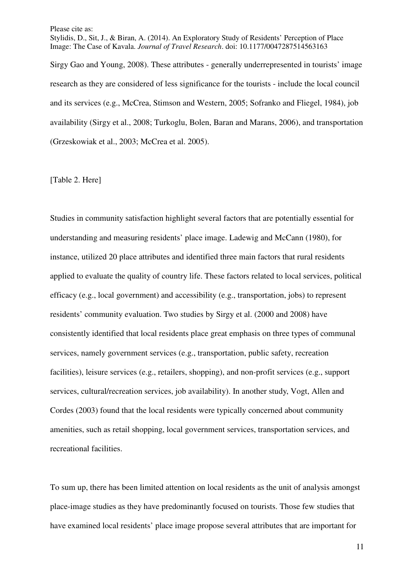Stylidis, D., Sit, J., & Biran, A. (2014). An Exploratory Study of Residents' Perception of Place Image: The Case of Kavala. *Journal of Travel Research*. doi: 10.1177/0047287514563163

Sirgy Gao and Young, 2008). These attributes - generally underrepresented in tourists' image research as they are considered of less significance for the tourists - include the local council and its services (e.g., McCrea, Stimson and Western, 2005; Sofranko and Fliegel, 1984), job availability (Sirgy et al., 2008; Turkoglu, Bolen, Baran and Marans, 2006), and transportation (Grzeskowiak et al., 2003; McCrea et al. 2005).

[Table 2. Here]

Studies in community satisfaction highlight several factors that are potentially essential for understanding and measuring residents' place image. Ladewig and McCann (1980), for instance, utilized 20 place attributes and identified three main factors that rural residents applied to evaluate the quality of country life. These factors related to local services, political efficacy (e.g., local government) and accessibility (e.g., transportation, jobs) to represent residents' community evaluation. Two studies by Sirgy et al. (2000 and 2008) have consistently identified that local residents place great emphasis on three types of communal services, namely government services (e.g., transportation, public safety, recreation facilities), leisure services (e.g., retailers, shopping), and non-profit services (e.g., support services, cultural/recreation services, job availability). In another study, Vogt, Allen and Cordes (2003) found that the local residents were typically concerned about community amenities, such as retail shopping, local government services, transportation services, and recreational facilities.

To sum up, there has been limited attention on local residents as the unit of analysis amongst place-image studies as they have predominantly focused on tourists. Those few studies that have examined local residents' place image propose several attributes that are important for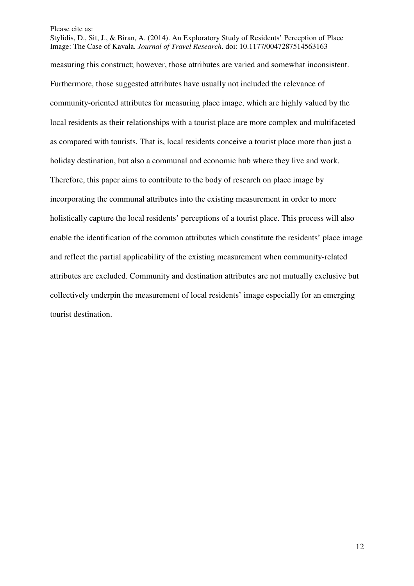Stylidis, D., Sit, J., & Biran, A. (2014). An Exploratory Study of Residents' Perception of Place Image: The Case of Kavala. *Journal of Travel Research*. doi: 10.1177/0047287514563163 measuring this construct; however, those attributes are varied and somewhat inconsistent. Furthermore, those suggested attributes have usually not included the relevance of community-oriented attributes for measuring place image, which are highly valued by the local residents as their relationships with a tourist place are more complex and multifaceted as compared with tourists. That is, local residents conceive a tourist place more than just a holiday destination, but also a communal and economic hub where they live and work. Therefore, this paper aims to contribute to the body of research on place image by incorporating the communal attributes into the existing measurement in order to more holistically capture the local residents' perceptions of a tourist place. This process will also enable the identification of the common attributes which constitute the residents' place image and reflect the partial applicability of the existing measurement when community-related attributes are excluded. Community and destination attributes are not mutually exclusive but collectively underpin the measurement of local residents' image especially for an emerging tourist destination.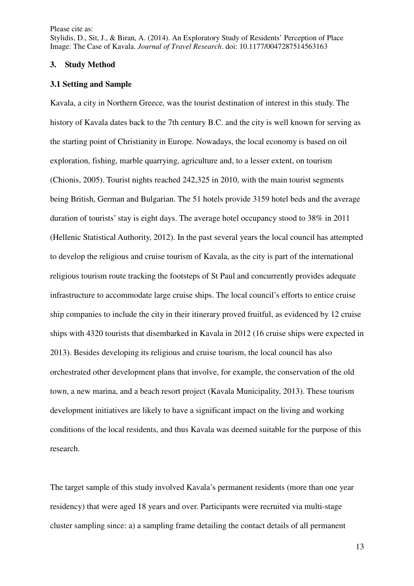Stylidis, D., Sit, J., & Biran, A. (2014). An Exploratory Study of Residents' Perception of Place Image: The Case of Kavala. *Journal of Travel Research*. doi: 10.1177/0047287514563163

### **3. Study Method**

#### **3.1 Setting and Sample**

Kavala, a city in Northern Greece, was the tourist destination of interest in this study. The history of Kavala dates back to the 7th century B.C. and the city is well known for serving as the starting point of Christianity in Europe. Nowadays, the local economy is based on oil exploration, fishing, marble quarrying, agriculture and, to a lesser extent, on tourism (Chionis, 2005). Tourist nights reached 242,325 in 2010, with the main tourist segments being British, German and Bulgarian. The 51 hotels provide 3159 hotel beds and the average duration of tourists' stay is eight days. The average hotel occupancy stood to 38% in 2011 (Hellenic Statistical Authority, 2012). In the past several years the local council has attempted to develop the religious and cruise tourism of Kavala, as the city is part of the international religious tourism route tracking the footsteps of St Paul and concurrently provides adequate infrastructure to accommodate large cruise ships. The local council's efforts to entice cruise ship companies to include the city in their itinerary proved fruitful, as evidenced by 12 cruise ships with 4320 tourists that disembarked in Kavala in 2012 (16 cruise ships were expected in 2013). Besides developing its religious and cruise tourism, the local council has also orchestrated other development plans that involve, for example, the conservation of the old town, a new marina, and a beach resort project (Kavala Municipality, 2013). These tourism development initiatives are likely to have a significant impact on the living and working conditions of the local residents, and thus Kavala was deemed suitable for the purpose of this research.

The target sample of this study involved Kavala's permanent residents (more than one year residency) that were aged 18 years and over. Participants were recruited via multi-stage cluster sampling since: a) a sampling frame detailing the contact details of all permanent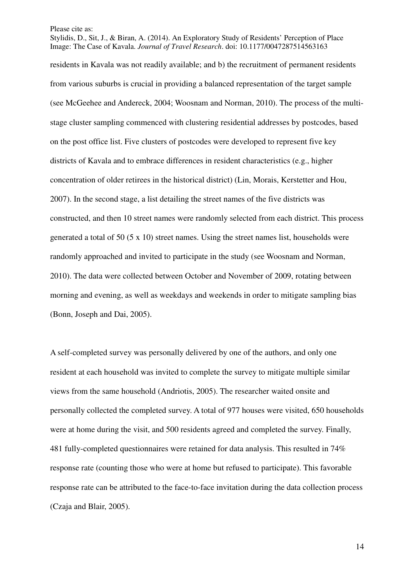Stylidis, D., Sit, J., & Biran, A. (2014). An Exploratory Study of Residents' Perception of Place Image: The Case of Kavala. *Journal of Travel Research*. doi: 10.1177/0047287514563163

residents in Kavala was not readily available; and b) the recruitment of permanent residents from various suburbs is crucial in providing a balanced representation of the target sample (see McGeehee and Andereck, 2004; Woosnam and Norman, 2010). The process of the multistage cluster sampling commenced with clustering residential addresses by postcodes, based on the post office list. Five clusters of postcodes were developed to represent five key districts of Kavala and to embrace differences in resident characteristics (e.g., higher concentration of older retirees in the historical district) (Lin, Morais, Kerstetter and Hou, 2007). In the second stage, a list detailing the street names of the five districts was constructed, and then 10 street names were randomly selected from each district. This process generated a total of 50 (5 x 10) street names. Using the street names list, households were randomly approached and invited to participate in the study (see Woosnam and Norman, 2010). The data were collected between October and November of 2009, rotating between morning and evening, as well as weekdays and weekends in order to mitigate sampling bias (Bonn, Joseph and Dai, 2005).

A self-completed survey was personally delivered by one of the authors, and only one resident at each household was invited to complete the survey to mitigate multiple similar views from the same household (Andriotis, 2005). The researcher waited onsite and personally collected the completed survey. A total of 977 houses were visited, 650 households were at home during the visit, and 500 residents agreed and completed the survey. Finally, 481 fully-completed questionnaires were retained for data analysis. This resulted in 74% response rate (counting those who were at home but refused to participate). This favorable response rate can be attributed to the face-to-face invitation during the data collection process (Czaja and Blair, 2005).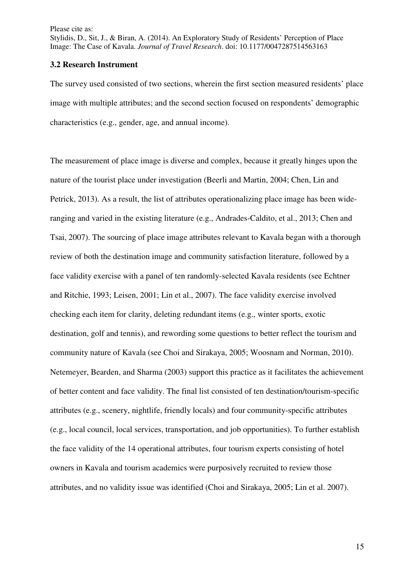Please cite as: Stylidis, D., Sit, J., & Biran, A. (2014). An Exploratory Study of Residents' Perception of Place Image: The Case of Kavala. *Journal of Travel Research*. doi: 10.1177/0047287514563163

### **3.2 Research Instrument**

The survey used consisted of two sections, wherein the first section measured residents' place image with multiple attributes; and the second section focused on respondents' demographic characteristics (e.g., gender, age, and annual income).

The measurement of place image is diverse and complex, because it greatly hinges upon the nature of the tourist place under investigation (Beerli and Martin, 2004; Chen, Lin and Petrick, 2013). As a result, the list of attributes operationalizing place image has been wideranging and varied in the existing literature (e.g., Andrades-Caldito, et al., 2013; Chen and Tsai, 2007). The sourcing of place image attributes relevant to Kavala began with a thorough review of both the destination image and community satisfaction literature, followed by a face validity exercise with a panel of ten randomly-selected Kavala residents (see Echtner and Ritchie, 1993; Leisen, 2001; Lin et al., 2007). The face validity exercise involved checking each item for clarity, deleting redundant items (e.g., winter sports, exotic destination, golf and tennis), and rewording some questions to better reflect the tourism and community nature of Kavala (see Choi and Sirakaya, 2005; Woosnam and Norman, 2010). Netemeyer, Bearden, and Sharma (2003) support this practice as it facilitates the achievement of better content and face validity. The final list consisted of ten destination/tourism-specific attributes (e.g., scenery, nightlife, friendly locals) and four community-specific attributes (e.g., local council, local services, transportation, and job opportunities). To further establish the face validity of the 14 operational attributes, four tourism experts consisting of hotel owners in Kavala and tourism academics were purposively recruited to review those attributes, and no validity issue was identified (Choi and Sirakaya, 2005; Lin et al. 2007).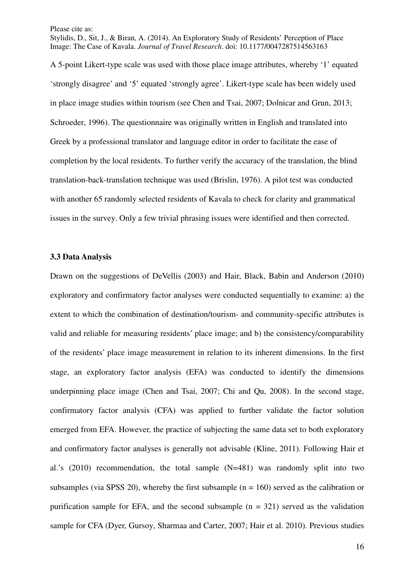Stylidis, D., Sit, J., & Biran, A. (2014). An Exploratory Study of Residents' Perception of Place Image: The Case of Kavala. *Journal of Travel Research*. doi: 10.1177/0047287514563163

A 5-point Likert-type scale was used with those place image attributes, whereby '1' equated 'strongly disagree' and '5' equated 'strongly agree'. Likert-type scale has been widely used in place image studies within tourism (see Chen and Tsai, 2007; Dolnicar and Grun, 2013; Schroeder, 1996). The questionnaire was originally written in English and translated into Greek by a professional translator and language editor in order to facilitate the ease of completion by the local residents. To further verify the accuracy of the translation, the blind translation-back-translation technique was used (Brislin, 1976). A pilot test was conducted with another 65 randomly selected residents of Kavala to check for clarity and grammatical issues in the survey. Only a few trivial phrasing issues were identified and then corrected.

#### **3.3 Data Analysis**

Drawn on the suggestions of DeVellis (2003) and Hair, Black, Babin and Anderson (2010) exploratory and confirmatory factor analyses were conducted sequentially to examine: a) the extent to which the combination of destination/tourism- and community-specific attributes is valid and reliable for measuring residents' place image; and b) the consistency/comparability of the residents' place image measurement in relation to its inherent dimensions. In the first stage, an exploratory factor analysis (EFA) was conducted to identify the dimensions underpinning place image (Chen and Tsai, 2007; Chi and Qu, 2008). In the second stage, confirmatory factor analysis (CFA) was applied to further validate the factor solution emerged from EFA. However, the practice of subjecting the same data set to both exploratory and confirmatory factor analyses is generally not advisable (Kline, 2011). Following Hair et al.'s (2010) recommendation, the total sample (N=481) was randomly split into two subsamples (via SPSS 20), whereby the first subsample ( $n = 160$ ) served as the calibration or purification sample for EFA, and the second subsample  $(n = 321)$  served as the validation sample for CFA (Dyer, Gursoy, Sharmaa and Carter, 2007; Hair et al. 2010). Previous studies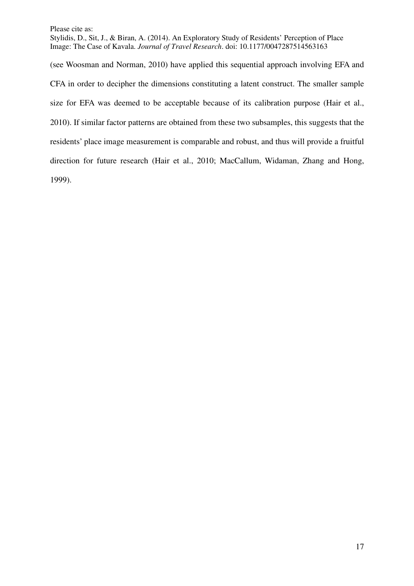Stylidis, D., Sit, J., & Biran, A. (2014). An Exploratory Study of Residents' Perception of Place Image: The Case of Kavala. *Journal of Travel Research*. doi: 10.1177/0047287514563163

(see Woosman and Norman, 2010) have applied this sequential approach involving EFA and CFA in order to decipher the dimensions constituting a latent construct. The smaller sample size for EFA was deemed to be acceptable because of its calibration purpose (Hair et al., 2010). If similar factor patterns are obtained from these two subsamples, this suggests that the residents' place image measurement is comparable and robust, and thus will provide a fruitful direction for future research (Hair et al., 2010; MacCallum, Widaman, Zhang and Hong, 1999).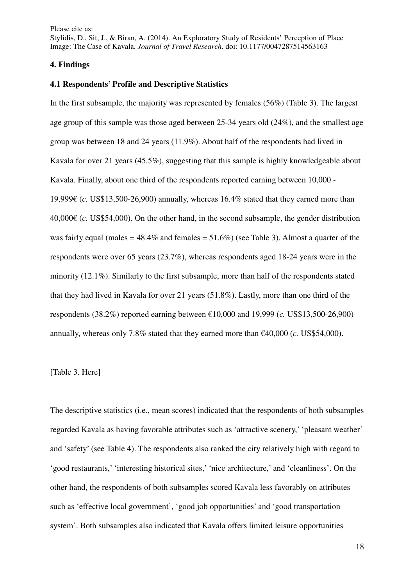Stylidis, D., Sit, J., & Biran, A. (2014). An Exploratory Study of Residents' Perception of Place Image: The Case of Kavala. *Journal of Travel Research*. doi: 10.1177/0047287514563163

#### **4. Findings**

### **4.1 Respondents' Profile and Descriptive Statistics**

In the first subsample, the majority was represented by females (56%) (Table 3). The largest age group of this sample was those aged between 25-34 years old (24%), and the smallest age group was between 18 and 24 years (11.9%). About half of the respondents had lived in Kavala for over 21 years (45.5%), suggesting that this sample is highly knowledgeable about Kavala. Finally, about one third of the respondents reported earning between 10,000 - 19,999€ (*c.* US\$13,500-26,900) annually, whereas 16.4% stated that they earned more than 40,000€ (*c.* US\$54,000). On the other hand, in the second subsample, the gender distribution was fairly equal (males  $= 48.4\%$  and females  $= 51.6\%$ ) (see Table 3). Almost a quarter of the respondents were over 65 years (23.7%), whereas respondents aged 18-24 years were in the minority (12.1%). Similarly to the first subsample, more than half of the respondents stated that they had lived in Kavala for over 21 years (51.8%). Lastly, more than one third of the respondents (38.2%) reported earning between €10,000 and 19,999 (*c.* US\$13,500-26,900) annually, whereas only 7.8% stated that they earned more than  $\epsilon$ 40,000 (*c*. US\$54,000).

## [Table 3. Here]

The descriptive statistics (i.e., mean scores) indicated that the respondents of both subsamples regarded Kavala as having favorable attributes such as 'attractive scenery,' 'pleasant weather' and 'safety' (see Table 4). The respondents also ranked the city relatively high with regard to 'good restaurants,' 'interesting historical sites,' 'nice architecture,' and 'cleanliness'. On the other hand, the respondents of both subsamples scored Kavala less favorably on attributes such as 'effective local government', 'good job opportunities' and 'good transportation system'. Both subsamples also indicated that Kavala offers limited leisure opportunities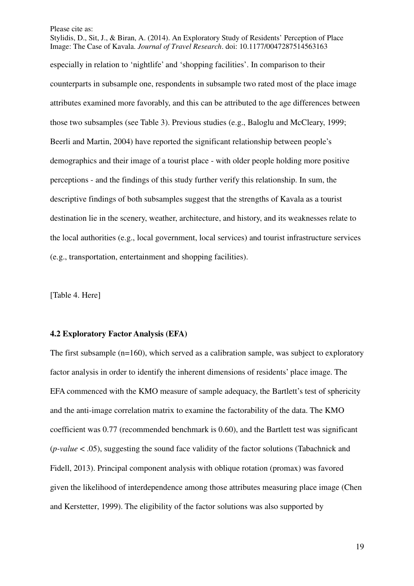Stylidis, D., Sit, J., & Biran, A. (2014). An Exploratory Study of Residents' Perception of Place Image: The Case of Kavala. *Journal of Travel Research*. doi: 10.1177/0047287514563163 especially in relation to 'nightlife' and 'shopping facilities'. In comparison to their counterparts in subsample one, respondents in subsample two rated most of the place image attributes examined more favorably, and this can be attributed to the age differences between those two subsamples (see Table 3). Previous studies (e.g., Baloglu and McCleary, 1999; Beerli and Martin, 2004) have reported the significant relationship between people's demographics and their image of a tourist place - with older people holding more positive perceptions - and the findings of this study further verify this relationship. In sum, the descriptive findings of both subsamples suggest that the strengths of Kavala as a tourist destination lie in the scenery, weather, architecture, and history, and its weaknesses relate to the local authorities (e.g., local government, local services) and tourist infrastructure services (e.g., transportation, entertainment and shopping facilities).

[Table 4. Here]

### **4.2 Exploratory Factor Analysis (EFA)**

The first subsample (n=160), which served as a calibration sample, was subject to exploratory factor analysis in order to identify the inherent dimensions of residents' place image. The EFA commenced with the KMO measure of sample adequacy, the Bartlett's test of sphericity and the anti-image correlation matrix to examine the factorability of the data. The KMO coefficient was 0.77 (recommended benchmark is 0.60), and the Bartlett test was significant (*p-value* < .05), suggesting the sound face validity of the factor solutions (Tabachnick and Fidell, 2013). Principal component analysis with oblique rotation (promax) was favored given the likelihood of interdependence among those attributes measuring place image (Chen and Kerstetter, 1999). The eligibility of the factor solutions was also supported by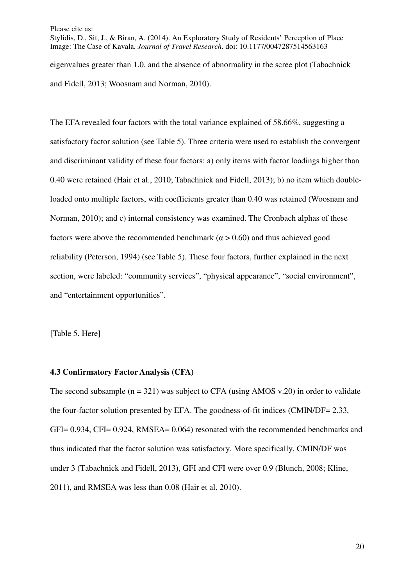Stylidis, D., Sit, J., & Biran, A. (2014). An Exploratory Study of Residents' Perception of Place Image: The Case of Kavala. *Journal of Travel Research*. doi: 10.1177/0047287514563163 eigenvalues greater than 1.0, and the absence of abnormality in the scree plot (Tabachnick and Fidell, 2013; Woosnam and Norman, 2010).

The EFA revealed four factors with the total variance explained of 58.66%, suggesting a satisfactory factor solution (see Table 5). Three criteria were used to establish the convergent and discriminant validity of these four factors: a) only items with factor loadings higher than 0.40 were retained (Hair et al., 2010; Tabachnick and Fidell, 2013); b) no item which doubleloaded onto multiple factors, with coefficients greater than 0.40 was retained (Woosnam and Norman, 2010); and c) internal consistency was examined. The Cronbach alphas of these factors were above the recommended benchmark ( $\alpha$  > 0.60) and thus achieved good reliability (Peterson, 1994) (see Table 5). These four factors, further explained in the next section, were labeled: "community services", "physical appearance", "social environment", and "entertainment opportunities".

[Table 5. Here]

## **4.3 Confirmatory Factor Analysis (CFA)**

The second subsample  $(n = 321)$  was subject to CFA (using AMOS v.20) in order to validate the four-factor solution presented by EFA. The goodness-of-fit indices (CMIN/DF= 2.33, GFI= 0.934, CFI= 0.924, RMSEA= 0.064) resonated with the recommended benchmarks and thus indicated that the factor solution was satisfactory. More specifically, CMIN/DF was under 3 (Tabachnick and Fidell, 2013), GFI and CFI were over 0.9 (Blunch, 2008; Kline, 2011), and RMSEA was less than 0.08 (Hair et al. 2010).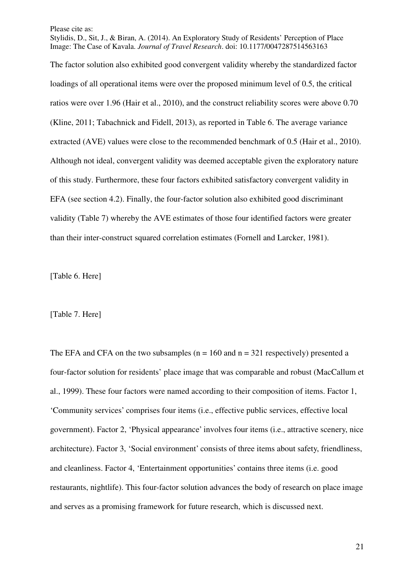Stylidis, D., Sit, J., & Biran, A. (2014). An Exploratory Study of Residents' Perception of Place Image: The Case of Kavala. *Journal of Travel Research*. doi: 10.1177/0047287514563163

The factor solution also exhibited good convergent validity whereby the standardized factor loadings of all operational items were over the proposed minimum level of 0.5, the critical ratios were over 1.96 (Hair et al., 2010), and the construct reliability scores were above 0.70 (Kline, 2011; Tabachnick and Fidell, 2013), as reported in Table 6. The average variance extracted (AVE) values were close to the recommended benchmark of 0.5 (Hair et al., 2010). Although not ideal, convergent validity was deemed acceptable given the exploratory nature of this study. Furthermore, these four factors exhibited satisfactory convergent validity in EFA (see section 4.2). Finally, the four-factor solution also exhibited good discriminant validity (Table 7) whereby the AVE estimates of those four identified factors were greater than their inter-construct squared correlation estimates (Fornell and Larcker, 1981).

[Table 6. Here]

### [Table 7. Here]

The EFA and CFA on the two subsamples ( $n = 160$  and  $n = 321$  respectively) presented a four-factor solution for residents' place image that was comparable and robust (MacCallum et al., 1999). These four factors were named according to their composition of items. Factor 1, 'Community services' comprises four items (i.e., effective public services, effective local government). Factor 2, 'Physical appearance' involves four items (i.e., attractive scenery, nice architecture). Factor 3, 'Social environment' consists of three items about safety, friendliness, and cleanliness. Factor 4, 'Entertainment opportunities' contains three items (i.e. good restaurants, nightlife). This four-factor solution advances the body of research on place image and serves as a promising framework for future research, which is discussed next.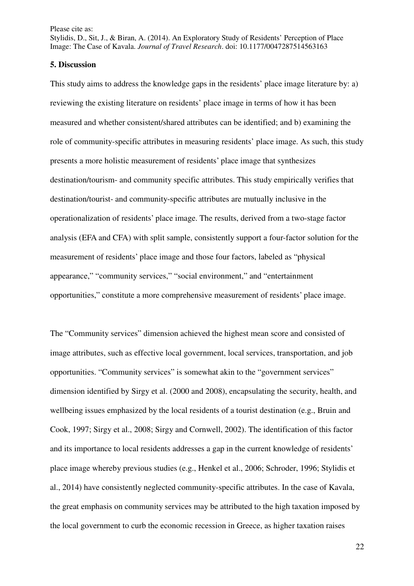Stylidis, D., Sit, J., & Biran, A. (2014). An Exploratory Study of Residents' Perception of Place Image: The Case of Kavala. *Journal of Travel Research*. doi: 10.1177/0047287514563163

#### **5. Discussion**

This study aims to address the knowledge gaps in the residents' place image literature by: a) reviewing the existing literature on residents' place image in terms of how it has been measured and whether consistent/shared attributes can be identified; and b) examining the role of community-specific attributes in measuring residents' place image. As such, this study presents a more holistic measurement of residents' place image that synthesizes destination/tourism- and community specific attributes. This study empirically verifies that destination/tourist- and community-specific attributes are mutually inclusive in the operationalization of residents' place image. The results, derived from a two-stage factor analysis (EFA and CFA) with split sample, consistently support a four-factor solution for the measurement of residents' place image and those four factors, labeled as "physical appearance," "community services," "social environment," and "entertainment opportunities," constitute a more comprehensive measurement of residents' place image.

The "Community services" dimension achieved the highest mean score and consisted of image attributes, such as effective local government, local services, transportation, and job opportunities. "Community services" is somewhat akin to the "government services" dimension identified by Sirgy et al. (2000 and 2008), encapsulating the security, health, and wellbeing issues emphasized by the local residents of a tourist destination (e.g., Bruin and Cook, 1997; Sirgy et al., 2008; Sirgy and Cornwell, 2002). The identification of this factor and its importance to local residents addresses a gap in the current knowledge of residents' place image whereby previous studies (e.g., Henkel et al., 2006; Schroder, 1996; Stylidis et al., 2014) have consistently neglected community-specific attributes. In the case of Kavala, the great emphasis on community services may be attributed to the high taxation imposed by the local government to curb the economic recession in Greece, as higher taxation raises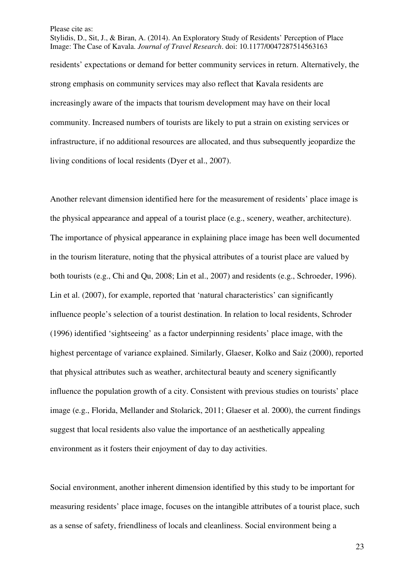Stylidis, D., Sit, J., & Biran, A. (2014). An Exploratory Study of Residents' Perception of Place Image: The Case of Kavala. *Journal of Travel Research*. doi: 10.1177/0047287514563163 residents' expectations or demand for better community services in return. Alternatively, the strong emphasis on community services may also reflect that Kavala residents are increasingly aware of the impacts that tourism development may have on their local community. Increased numbers of tourists are likely to put a strain on existing services or infrastructure, if no additional resources are allocated, and thus subsequently jeopardize the living conditions of local residents (Dyer et al., 2007).

Another relevant dimension identified here for the measurement of residents' place image is the physical appearance and appeal of a tourist place (e.g., scenery, weather, architecture). The importance of physical appearance in explaining place image has been well documented in the tourism literature, noting that the physical attributes of a tourist place are valued by both tourists (e.g., Chi and Qu, 2008; Lin et al., 2007) and residents (e.g., Schroeder, 1996). Lin et al. (2007), for example, reported that 'natural characteristics' can significantly influence people's selection of a tourist destination. In relation to local residents, Schroder (1996) identified 'sightseeing' as a factor underpinning residents' place image, with the highest percentage of variance explained. Similarly, Glaeser, Kolko and Saiz (2000), reported that physical attributes such as weather, architectural beauty and scenery significantly influence the population growth of a city. Consistent with previous studies on tourists' place image (e.g., Florida, Mellander and Stolarick, 2011; Glaeser et al. 2000), the current findings suggest that local residents also value the importance of an aesthetically appealing environment as it fosters their enjoyment of day to day activities.

Social environment, another inherent dimension identified by this study to be important for measuring residents' place image, focuses on the intangible attributes of a tourist place, such as a sense of safety, friendliness of locals and cleanliness. Social environment being a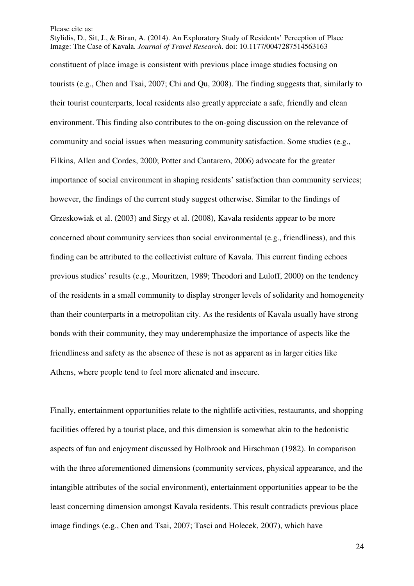Stylidis, D., Sit, J., & Biran, A. (2014). An Exploratory Study of Residents' Perception of Place Image: The Case of Kavala. *Journal of Travel Research*. doi: 10.1177/0047287514563163 constituent of place image is consistent with previous place image studies focusing on tourists (e.g., Chen and Tsai, 2007; Chi and Qu, 2008). The finding suggests that, similarly to their tourist counterparts, local residents also greatly appreciate a safe, friendly and clean environment. This finding also contributes to the on-going discussion on the relevance of community and social issues when measuring community satisfaction. Some studies (e.g., Filkins, Allen and Cordes, 2000; Potter and Cantarero, 2006) advocate for the greater importance of social environment in shaping residents' satisfaction than community services; however, the findings of the current study suggest otherwise. Similar to the findings of Grzeskowiak et al. (2003) and Sirgy et al. (2008), Kavala residents appear to be more concerned about community services than social environmental (e.g., friendliness), and this finding can be attributed to the collectivist culture of Kavala. This current finding echoes previous studies' results (e.g., Mouritzen, 1989; Theodori and Luloff, 2000) on the tendency of the residents in a small community to display stronger levels of solidarity and homogeneity than their counterparts in a metropolitan city. As the residents of Kavala usually have strong bonds with their community, they may underemphasize the importance of aspects like the friendliness and safety as the absence of these is not as apparent as in larger cities like Athens, where people tend to feel more alienated and insecure.

Finally, entertainment opportunities relate to the nightlife activities, restaurants, and shopping facilities offered by a tourist place, and this dimension is somewhat akin to the hedonistic aspects of fun and enjoyment discussed by Holbrook and Hirschman (1982). In comparison with the three aforementioned dimensions (community services, physical appearance, and the intangible attributes of the social environment), entertainment opportunities appear to be the least concerning dimension amongst Kavala residents. This result contradicts previous place image findings (e.g., Chen and Tsai, 2007; Tasci and Holecek, 2007), which have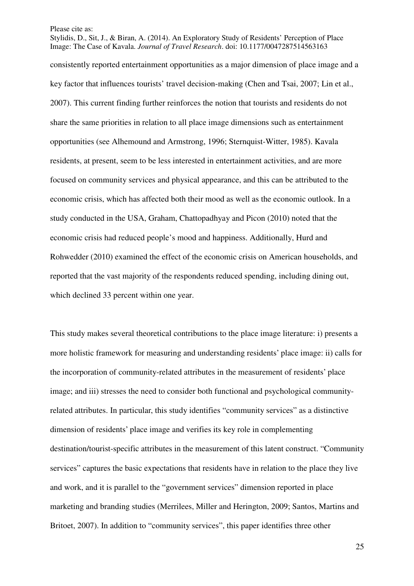Stylidis, D., Sit, J., & Biran, A. (2014). An Exploratory Study of Residents' Perception of Place Image: The Case of Kavala. *Journal of Travel Research*. doi: 10.1177/0047287514563163

consistently reported entertainment opportunities as a major dimension of place image and a key factor that influences tourists' travel decision-making (Chen and Tsai, 2007; Lin et al., 2007). This current finding further reinforces the notion that tourists and residents do not share the same priorities in relation to all place image dimensions such as entertainment opportunities (see Alhemound and Armstrong, 1996; Sternquist-Witter, 1985). Kavala residents, at present, seem to be less interested in entertainment activities, and are more focused on community services and physical appearance, and this can be attributed to the economic crisis, which has affected both their mood as well as the economic outlook. In a study conducted in the USA, Graham, Chattopadhyay and Picon (2010) noted that the economic crisis had reduced people's mood and happiness. Additionally, Hurd and Rohwedder (2010) examined the effect of the economic crisis on American households, and reported that the vast majority of the respondents reduced spending, including dining out, which declined 33 percent within one year.

This study makes several theoretical contributions to the place image literature: i) presents a more holistic framework for measuring and understanding residents' place image: ii) calls for the incorporation of community-related attributes in the measurement of residents' place image; and iii) stresses the need to consider both functional and psychological communityrelated attributes. In particular, this study identifies "community services" as a distinctive dimension of residents' place image and verifies its key role in complementing destination/tourist-specific attributes in the measurement of this latent construct. "Community services" captures the basic expectations that residents have in relation to the place they live and work, and it is parallel to the "government services" dimension reported in place marketing and branding studies (Merrilees, Miller and Herington, 2009; Santos, Martins and Britoet, 2007). In addition to "community services", this paper identifies three other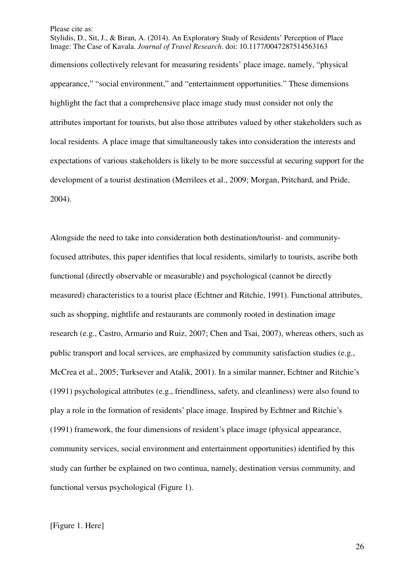Stylidis, D., Sit, J., & Biran, A. (2014). An Exploratory Study of Residents' Perception of Place Image: The Case of Kavala. *Journal of Travel Research*. doi: 10.1177/0047287514563163 dimensions collectively relevant for measuring residents' place image, namely, "physical appearance," "social environment," and "entertainment opportunities." These dimensions highlight the fact that a comprehensive place image study must consider not only the attributes important for tourists, but also those attributes valued by other stakeholders such as local residents. A place image that simultaneously takes into consideration the interests and expectations of various stakeholders is likely to be more successful at securing support for the development of a tourist destination (Merrilees et al., 2009; Morgan, Pritchard, and Pride, 2004).

Alongside the need to take into consideration both destination/tourist- and communityfocused attributes, this paper identifies that local residents, similarly to tourists, ascribe both functional (directly observable or measurable) and psychological (cannot be directly measured) characteristics to a tourist place (Echtner and Ritchie, 1991). Functional attributes, such as shopping, nightlife and restaurants are commonly rooted in destination image research (e.g., Castro, Armario and Ruiz, 2007; Chen and Tsai, 2007), whereas others, such as public transport and local services, are emphasized by community satisfaction studies (e.g., McCrea et al., 2005; Turksever and Atalik, 2001). In a similar manner, Echtner and Ritchie's (1991) psychological attributes (e.g., friendliness, safety, and cleanliness) were also found to play a role in the formation of residents' place image. Inspired by Echtner and Ritchie's (1991) framework, the four dimensions of resident's place image (physical appearance, community services, social environment and entertainment opportunities) identified by this study can further be explained on two continua, namely, destination versus community, and functional versus psychological (Figure 1).

[Figure 1. Here]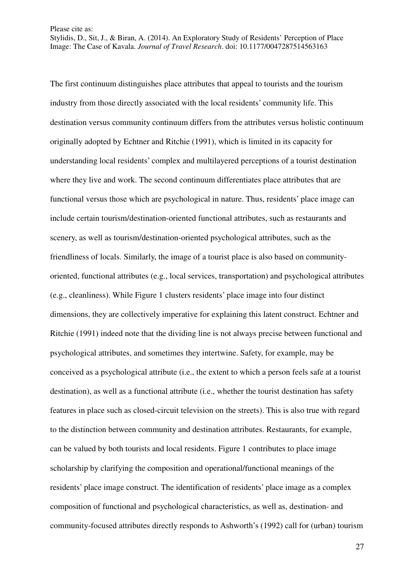Stylidis, D., Sit, J., & Biran, A. (2014). An Exploratory Study of Residents' Perception of Place Image: The Case of Kavala. *Journal of Travel Research*. doi: 10.1177/0047287514563163

The first continuum distinguishes place attributes that appeal to tourists and the tourism industry from those directly associated with the local residents' community life. This destination versus community continuum differs from the attributes versus holistic continuum originally adopted by Echtner and Ritchie (1991), which is limited in its capacity for understanding local residents' complex and multilayered perceptions of a tourist destination where they live and work. The second continuum differentiates place attributes that are functional versus those which are psychological in nature. Thus, residents' place image can include certain tourism/destination-oriented functional attributes, such as restaurants and scenery, as well as tourism/destination-oriented psychological attributes, such as the friendliness of locals. Similarly, the image of a tourist place is also based on communityoriented, functional attributes (e.g., local services, transportation) and psychological attributes (e.g., cleanliness). While Figure 1 clusters residents' place image into four distinct dimensions, they are collectively imperative for explaining this latent construct. Echtner and Ritchie (1991) indeed note that the dividing line is not always precise between functional and psychological attributes, and sometimes they intertwine. Safety, for example, may be conceived as a psychological attribute (i.e., the extent to which a person feels safe at a tourist destination), as well as a functional attribute (i.e., whether the tourist destination has safety features in place such as closed-circuit television on the streets). This is also true with regard to the distinction between community and destination attributes. Restaurants, for example, can be valued by both tourists and local residents. Figure 1 contributes to place image scholarship by clarifying the composition and operational/functional meanings of the residents' place image construct. The identification of residents' place image as a complex composition of functional and psychological characteristics, as well as, destination- and community-focused attributes directly responds to Ashworth's (1992) call for (urban) tourism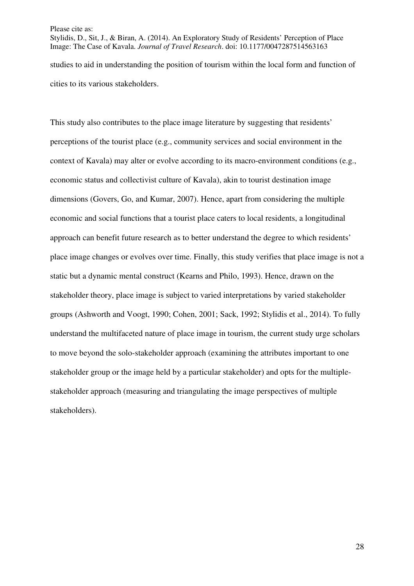Stylidis, D., Sit, J., & Biran, A. (2014). An Exploratory Study of Residents' Perception of Place Image: The Case of Kavala. *Journal of Travel Research*. doi: 10.1177/0047287514563163 studies to aid in understanding the position of tourism within the local form and function of cities to its various stakeholders.

This study also contributes to the place image literature by suggesting that residents' perceptions of the tourist place (e.g., community services and social environment in the context of Kavala) may alter or evolve according to its macro-environment conditions (e.g., economic status and collectivist culture of Kavala), akin to tourist destination image dimensions (Govers, Go, and Kumar, 2007). Hence, apart from considering the multiple economic and social functions that a tourist place caters to local residents, a longitudinal approach can benefit future research as to better understand the degree to which residents' place image changes or evolves over time. Finally, this study verifies that place image is not a static but a dynamic mental construct (Kearns and Philo, 1993). Hence, drawn on the stakeholder theory, place image is subject to varied interpretations by varied stakeholder groups (Ashworth and Voogt, 1990; Cohen, 2001; Sack, 1992; Stylidis et al., 2014). To fully understand the multifaceted nature of place image in tourism, the current study urge scholars to move beyond the solo-stakeholder approach (examining the attributes important to one stakeholder group or the image held by a particular stakeholder) and opts for the multiplestakeholder approach (measuring and triangulating the image perspectives of multiple stakeholders).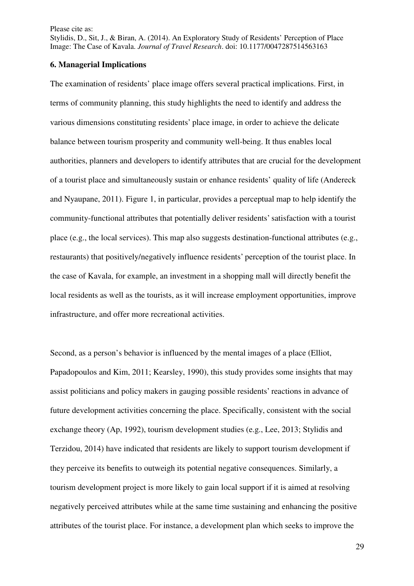Stylidis, D., Sit, J., & Biran, A. (2014). An Exploratory Study of Residents' Perception of Place Image: The Case of Kavala. *Journal of Travel Research*. doi: 10.1177/0047287514563163

#### **6. Managerial Implications**

The examination of residents' place image offers several practical implications. First, in terms of community planning, this study highlights the need to identify and address the various dimensions constituting residents' place image, in order to achieve the delicate balance between tourism prosperity and community well-being. It thus enables local authorities, planners and developers to identify attributes that are crucial for the development of a tourist place and simultaneously sustain or enhance residents' quality of life (Andereck and Nyaupane, 2011). Figure 1, in particular, provides a perceptual map to help identify the community-functional attributes that potentially deliver residents' satisfaction with a tourist place (e.g., the local services). This map also suggests destination-functional attributes (e.g., restaurants) that positively/negatively influence residents' perception of the tourist place. In the case of Kavala, for example, an investment in a shopping mall will directly benefit the local residents as well as the tourists, as it will increase employment opportunities, improve infrastructure, and offer more recreational activities.

Second, as a person's behavior is influenced by the mental images of a place (Elliot, Papadopoulos and Kim, 2011; Kearsley, 1990), this study provides some insights that may assist politicians and policy makers in gauging possible residents' reactions in advance of future development activities concerning the place. Specifically, consistent with the social exchange theory (Ap, 1992), tourism development studies (e.g., Lee, 2013; Stylidis and Terzidou, 2014) have indicated that residents are likely to support tourism development if they perceive its benefits to outweigh its potential negative consequences. Similarly, a tourism development project is more likely to gain local support if it is aimed at resolving negatively perceived attributes while at the same time sustaining and enhancing the positive attributes of the tourist place. For instance, a development plan which seeks to improve the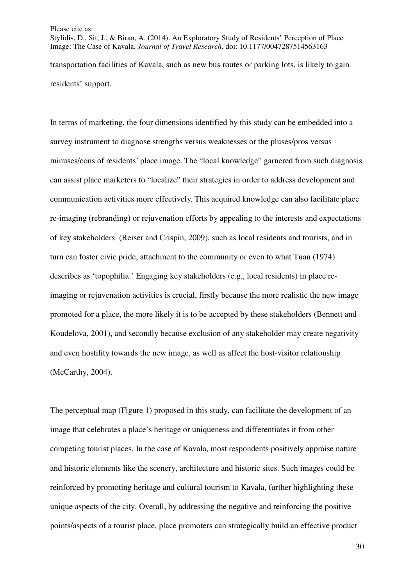Stylidis, D., Sit, J., & Biran, A. (2014). An Exploratory Study of Residents' Perception of Place Image: The Case of Kavala. *Journal of Travel Research*. doi: 10.1177/0047287514563163 transportation facilities of Kavala, such as new bus routes or parking lots, is likely to gain residents' support.

In terms of marketing, the four dimensions identified by this study can be embedded into a survey instrument to diagnose strengths versus weaknesses or the pluses/pros versus minuses/cons of residents' place image. The "local knowledge" garnered from such diagnosis can assist place marketers to "localize" their strategies in order to address development and communication activities more effectively. This acquired knowledge can also facilitate place re-imaging (rebranding) or rejuvenation efforts by appealing to the interests and expectations of key stakeholders (Reiser and Crispin, 2009), such as local residents and tourists, and in turn can foster civic pride, attachment to the community or even to what Tuan (1974) describes as 'topophilia.' Engaging key stakeholders (e.g., local residents) in place reimaging or rejuvenation activities is crucial, firstly because the more realistic the new image promoted for a place, the more likely it is to be accepted by these stakeholders (Bennett and Koudelova, 2001), and secondly because exclusion of any stakeholder may create negativity and even hostility towards the new image, as well as affect the host-visitor relationship (McCarthy, 2004).

The perceptual map (Figure 1) proposed in this study, can facilitate the development of an image that celebrates a place's heritage or uniqueness and differentiates it from other competing tourist places. In the case of Kavala, most respondents positively appraise nature and historic elements like the scenery, architecture and historic sites. Such images could be reinforced by promoting heritage and cultural tourism to Kavala, further highlighting these unique aspects of the city. Overall, by addressing the negative and reinforcing the positive points/aspects of a tourist place, place promoters can strategically build an effective product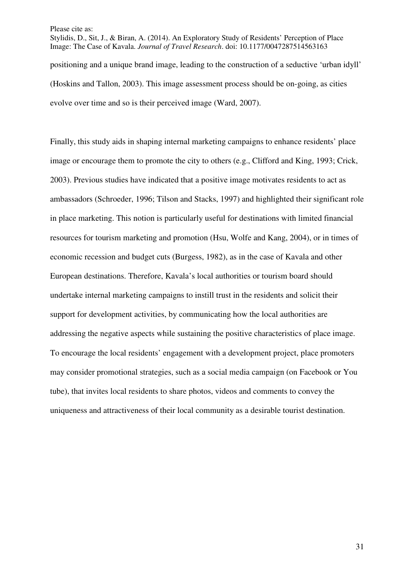Stylidis, D., Sit, J., & Biran, A. (2014). An Exploratory Study of Residents' Perception of Place Image: The Case of Kavala. *Journal of Travel Research*. doi: 10.1177/0047287514563163 positioning and a unique brand image, leading to the construction of a seductive 'urban idyll' (Hoskins and Tallon, 2003). This image assessment process should be on-going, as cities evolve over time and so is their perceived image (Ward, 2007).

Finally, this study aids in shaping internal marketing campaigns to enhance residents' place image or encourage them to promote the city to others (e.g., Clifford and King, 1993; Crick, 2003). Previous studies have indicated that a positive image motivates residents to act as ambassadors (Schroeder, 1996; Tilson and Stacks, 1997) and highlighted their significant role in place marketing. This notion is particularly useful for destinations with limited financial resources for tourism marketing and promotion (Hsu, Wolfe and Kang, 2004), or in times of economic recession and budget cuts (Burgess, 1982), as in the case of Kavala and other European destinations. Therefore, Kavala's local authorities or tourism board should undertake internal marketing campaigns to instill trust in the residents and solicit their support for development activities, by communicating how the local authorities are addressing the negative aspects while sustaining the positive characteristics of place image. To encourage the local residents' engagement with a development project, place promoters may consider promotional strategies, such as a social media campaign (on Facebook or You tube), that invites local residents to share photos, videos and comments to convey the uniqueness and attractiveness of their local community as a desirable tourist destination.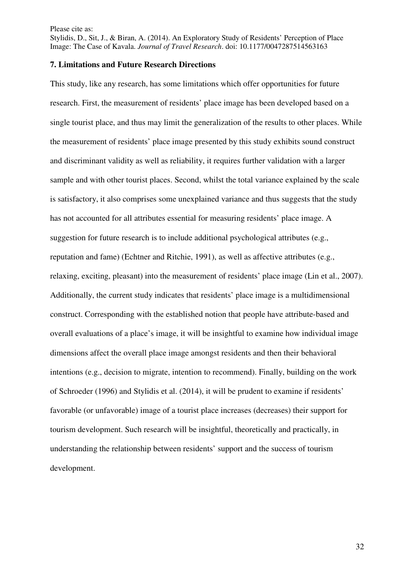Stylidis, D., Sit, J., & Biran, A. (2014). An Exploratory Study of Residents' Perception of Place Image: The Case of Kavala. *Journal of Travel Research*. doi: 10.1177/0047287514563163

### **7. Limitations and Future Research Directions**

This study, like any research, has some limitations which offer opportunities for future research. First, the measurement of residents' place image has been developed based on a single tourist place, and thus may limit the generalization of the results to other places. While the measurement of residents' place image presented by this study exhibits sound construct and discriminant validity as well as reliability, it requires further validation with a larger sample and with other tourist places. Second, whilst the total variance explained by the scale is satisfactory, it also comprises some unexplained variance and thus suggests that the study has not accounted for all attributes essential for measuring residents' place image. A suggestion for future research is to include additional psychological attributes (e.g., reputation and fame) (Echtner and Ritchie, 1991), as well as affective attributes (e.g., relaxing, exciting, pleasant) into the measurement of residents' place image (Lin et al., 2007). Additionally, the current study indicates that residents' place image is a multidimensional construct. Corresponding with the established notion that people have attribute-based and overall evaluations of a place's image, it will be insightful to examine how individual image dimensions affect the overall place image amongst residents and then their behavioral intentions (e.g., decision to migrate, intention to recommend). Finally, building on the work of Schroeder (1996) and Stylidis et al. (2014), it will be prudent to examine if residents' favorable (or unfavorable) image of a tourist place increases (decreases) their support for tourism development. Such research will be insightful, theoretically and practically, in understanding the relationship between residents' support and the success of tourism development.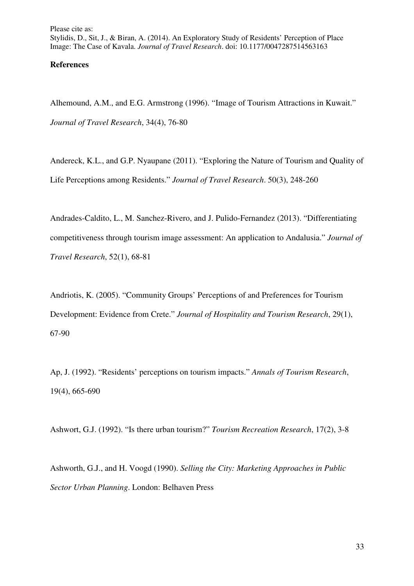## **References**

Alhemound, A.M., and E.G. Armstrong (1996). "Image of Tourism Attractions in Kuwait." *Journal of Travel Research*, 34(4), 76-80

Andereck, K.L., and G.P. Nyaupane (2011). "Exploring the Nature of Tourism and Quality of Life Perceptions among Residents." *Journal of Travel Research*. 50(3), 248-260

Andrades-Caldito, L., M. Sanchez-Rivero, and J. Pulido-Fernandez (2013). "Differentiating competitiveness through tourism image assessment: An application to Andalusia." *Journal of Travel Research*, 52(1), 68-81

Andriotis, K. (2005). "Community Groups' Perceptions of and Preferences for Tourism Development: Evidence from Crete." *Journal of Hospitality and Tourism Research*, 29(1), 67-90

Ap, J. (1992). "Residents' perceptions on tourism impacts." *Annals of Tourism Research*, 19(4), 665-690

Ashwort, G.J. (1992). "Is there urban tourism?" *Tourism Recreation Research*, 17(2), 3-8

Ashworth, G.J., and H. Voogd (1990). *Selling the City: Marketing Approaches in Public Sector Urban Planning*. London: Belhaven Press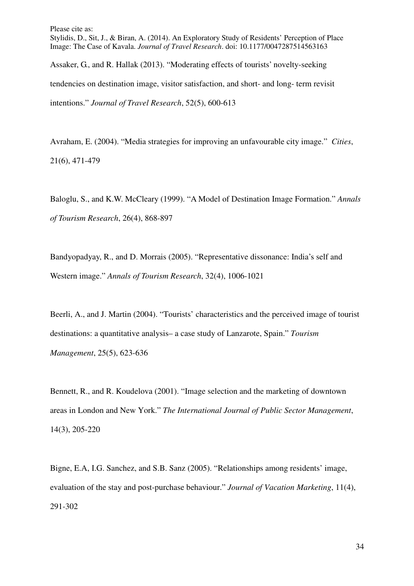Please cite as: Stylidis, D., Sit, J., & Biran, A. (2014). An Exploratory Study of Residents' Perception of Place Image: The Case of Kavala. *Journal of Travel Research*. doi: 10.1177/0047287514563163 Assaker, G., and R. Hallak (2013). "Moderating effects of tourists' novelty-seeking tendencies on destination image, visitor satisfaction, and short- and long- term revisit

intentions." *Journal of Travel Research*, 52(5), 600-613

Avraham, E. (2004). "Media strategies for improving an unfavourable city image." *Cities*, 21(6), 471-479

Baloglu, S., and K.W. McCleary (1999). "A Model of Destination Image Formation." *Annals of Tourism Research*, 26(4), 868-897

Bandyopadyay, R., and D. Morrais (2005). "Representative dissonance: India's self and Western image." *Annals of Tourism Research*, 32(4), 1006-1021

Beerli, A., and J. Martin (2004). "Tourists' characteristics and the perceived image of tourist destinations: a quantitative analysis– a case study of Lanzarote, Spain." *Tourism Management*, 25(5), 623-636

Bennett, R., and R. Koudelova (2001). "Image selection and the marketing of downtown areas in London and New York." *The International Journal of Public Sector Management*, 14(3), 205-220

Bigne, E.A, I.G. Sanchez, and S.B. Sanz (2005). "Relationships among residents' image, evaluation of the stay and post-purchase behaviour." *Journal of Vacation Marketing*, 11(4), 291-302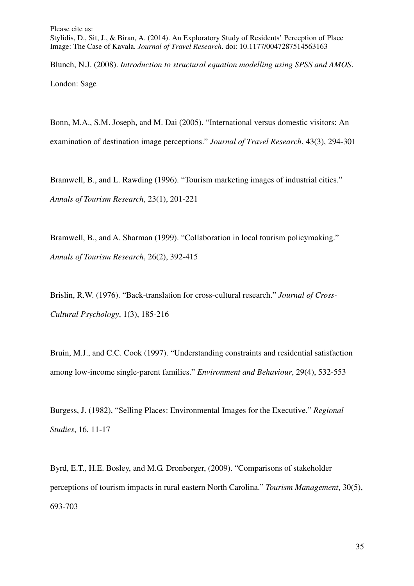Stylidis, D., Sit, J., & Biran, A. (2014). An Exploratory Study of Residents' Perception of Place Image: The Case of Kavala. *Journal of Travel Research*. doi: 10.1177/0047287514563163

Blunch, N.J. (2008). *Introduction to structural equation modelling using SPSS and AMOS*. London: Sage

Bonn, M.A., S.M. Joseph, and M. Dai (2005). "International versus domestic visitors: An examination of destination image perceptions." *Journal of Travel Research*, 43(3), 294-301

Bramwell, B., and L. Rawding (1996). "Tourism marketing images of industrial cities." *Annals of Tourism Research*, 23(1), 201-221

Bramwell, B., and A. Sharman (1999). "Collaboration in local tourism policymaking." *Annals of Tourism Research*, 26(2), 392-415

Brislin, R.W. (1976). "Back-translation for cross-cultural research." *Journal of Cross-Cultural Psychology*, 1(3), 185-216

Bruin, M.J., and C.C. Cook (1997). "Understanding constraints and residential satisfaction among low-income single-parent families." *Environment and Behaviour*, 29(4), 532-553

Burgess, J. (1982), "Selling Places: Environmental Images for the Executive." *Regional Studies*, 16, 11-17

Byrd, E.T., H.E. Bosley, and M.G. Dronberger, (2009). "Comparisons of stakeholder perceptions of tourism impacts in rural eastern North Carolina." *Tourism Management*, 30(5), 693-703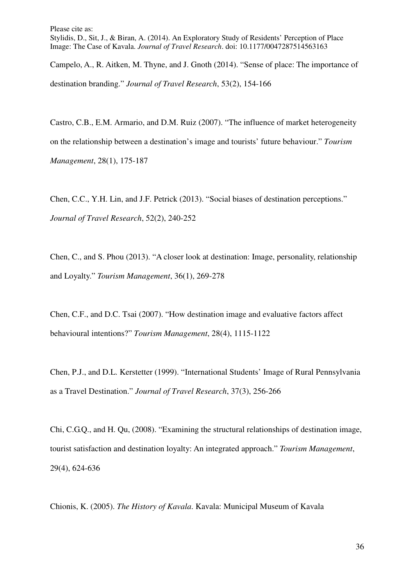Campelo, A., R. Aitken, M. Thyne, and J. Gnoth (2014). "Sense of place: The importance of destination branding." *Journal of Travel Research*, 53(2), 154-166

Castro, C.B., E.M. Armario, and D.M. Ruiz (2007). "The influence of market heterogeneity on the relationship between a destination's image and tourists' future behaviour." *Tourism Management*, 28(1), 175-187

Chen, C.C., Y.H. Lin, and J.F. Petrick (2013). "Social biases of destination perceptions." *Journal of Travel Research*, 52(2), 240-252

Chen, C., and S. Phou (2013). "A closer look at destination: Image, personality, relationship and Loyalty." *Tourism Management*, 36(1), 269-278

Chen, C.F., and D.C. Tsai (2007). "How destination image and evaluative factors affect behavioural intentions?" *Tourism Management*, 28(4), 1115-1122

Chen, P.J., and D.L. Kerstetter (1999). "International Students' Image of Rural Pennsylvania as a Travel Destination." *Journal of Travel Research*, 37(3), 256-266

Chi, C.G.Q., and H. Qu, (2008). "Examining the structural relationships of destination image, tourist satisfaction and destination loyalty: An integrated approach." *Tourism Management*, 29(4), 624-636

Chionis, K. (2005). *The History of Kavala*. Kavala: Municipal Museum of Kavala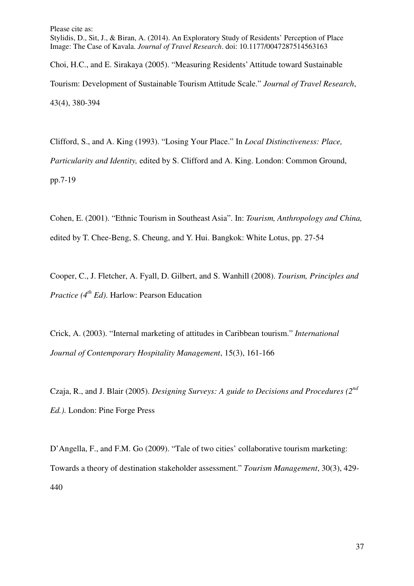Stylidis, D., Sit, J., & Biran, A. (2014). An Exploratory Study of Residents' Perception of Place Image: The Case of Kavala. *Journal of Travel Research*. doi: 10.1177/0047287514563163

Choi, H.C., and E. Sirakaya (2005). "Measuring Residents' Attitude toward Sustainable Tourism: Development of Sustainable Tourism Attitude Scale." *Journal of Travel Research*, 43(4), 380-394

Clifford, S., and A. King (1993). "Losing Your Place." In *Local Distinctiveness: Place, Particularity and Identity,* edited by S. Clifford and A. King. London: Common Ground, pp.7-19

Cohen, E. (2001). "Ethnic Tourism in Southeast Asia". In: *Tourism, Anthropology and China,* edited by T. Chee-Beng, S. Cheung, and Y. Hui. Bangkok: White Lotus, pp. 27-54

Cooper, C., J. Fletcher, A. Fyall, D. Gilbert, and S. Wanhill (2008). *Tourism, Principles and Practice (4th Ed)*. Harlow: Pearson Education

Crick, A. (2003). "Internal marketing of attitudes in Caribbean tourism." *International Journal of Contemporary Hospitality Management*, 15(3), 161-166

Czaja, R., and J. Blair (2005). *Designing Surveys: A guide to Decisions and Procedures (2nd Ed.)*. London: Pine Forge Press

D'Angella, F., and F.M. Go (2009). "Tale of two cities' collaborative tourism marketing: Towards a theory of destination stakeholder assessment." *Tourism Management*, 30(3), 429- 440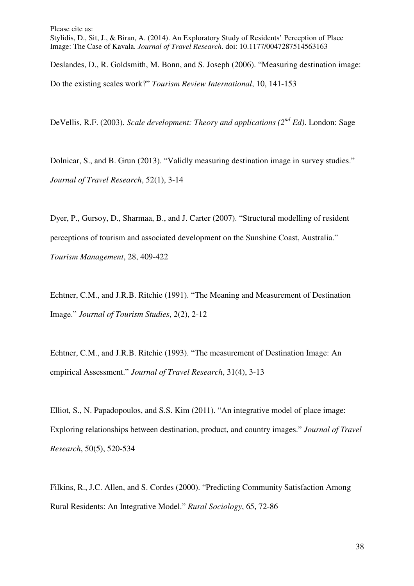Deslandes, D., R. Goldsmith, M. Bonn, and S. Joseph (2006). "Measuring destination image: Do the existing scales work?" *Tourism Review International*, 10, 141-153

DeVellis, R.F. (2003). *Scale development: Theory and applications (2<sup>nd</sup> Ed)*. London: Sage

Dolnicar, S., and B. Grun (2013). "Validly measuring destination image in survey studies." *Journal of Travel Research*, 52(1), 3-14

Dyer, P., Gursoy, D., Sharmaa, B., and J. Carter (2007). "Structural modelling of resident perceptions of tourism and associated development on the Sunshine Coast, Australia." *Tourism Management*, 28, 409-422

Echtner, C.M., and J.R.B. Ritchie (1991). "The Meaning and Measurement of Destination Image." *Journal of Tourism Studies*, 2(2), 2-12

Echtner, C.M., and J.R.B. Ritchie (1993). "The measurement of Destination Image: An empirical Assessment." *Journal of Travel Research*, 31(4), 3-13

Elliot, S., N. Papadopoulos, and S.S. Kim (2011). "An integrative model of place image: Exploring relationships between destination, product, and country images." *Journal of Travel Research*, 50(5), 520-534

Filkins, R., J.C. Allen, and S. Cordes (2000). "Predicting Community Satisfaction Among Rural Residents: An Integrative Model." *Rural Sociology*, 65, 72-86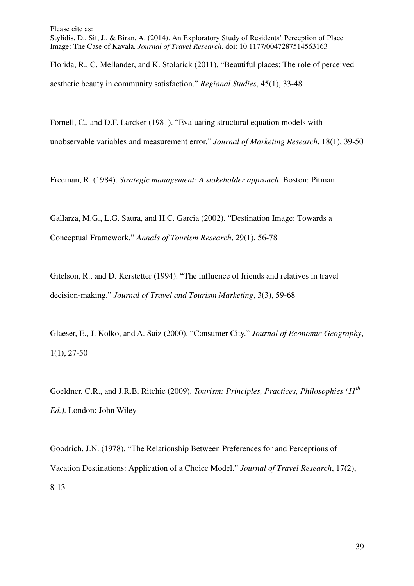Stylidis, D., Sit, J., & Biran, A. (2014). An Exploratory Study of Residents' Perception of Place Image: The Case of Kavala. *Journal of Travel Research*. doi: 10.1177/0047287514563163

Florida, R., C. Mellander, and K. Stolarick (2011). "Beautiful places: The role of perceived aesthetic beauty in community satisfaction." *Regional Studies*, 45(1), 33-48

Fornell, C., and D.F. Larcker (1981). "Evaluating structural equation models with unobservable variables and measurement error." *Journal of Marketing Research*, 18(1), 39-50

Freeman, R. (1984). *Strategic management: A stakeholder approach*. Boston: Pitman

Gallarza, M.G., L.G. Saura, and H.C. Garcia (2002). "Destination Image: Towards a Conceptual Framework." *Annals of Tourism Research*, 29(1), 56-78

Gitelson, R., and D. Kerstetter (1994). "The influence of friends and relatives in travel decision-making." *Journal of Travel and Tourism Marketing*, 3(3), 59-68

Glaeser, E., J. Kolko, and A. Saiz (2000). "Consumer City." *Journal of Economic Geography*, 1(1), 27-50

Goeldner, C.R., and J.R.B. Ritchie (2009). *Tourism: Principles, Practices, Philosophies (11th Ed.)*. London: John Wiley

Goodrich, J.N. (1978). "The Relationship Between Preferences for and Perceptions of Vacation Destinations: Application of a Choice Model." *Journal of Travel Research*, 17(2), 8-13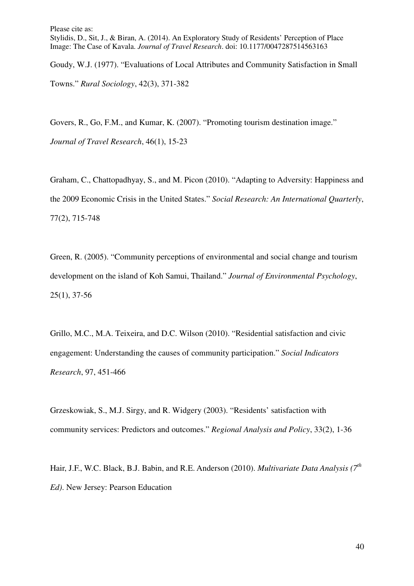Goudy, W.J. (1977). "Evaluations of Local Attributes and Community Satisfaction in Small Towns." *Rural Sociology*, 42(3), 371-382

Govers, R., Go, F.M., and Kumar, K. (2007). "Promoting tourism destination image." *Journal of Travel Research*, 46(1), 15-23

Graham, C., Chattopadhyay, S., and M. Picon (2010). "Adapting to Adversity: Happiness and the 2009 Economic Crisis in the United States." *Social Research: An International Quarterly*, 77(2), 715-748

Green, R. (2005). "Community perceptions of environmental and social change and tourism development on the island of Koh Samui, Thailand." *Journal of Environmental Psychology*, 25(1), 37-56

Grillo, M.C., M.A. Teixeira, and D.C. Wilson (2010). "Residential satisfaction and civic engagement: Understanding the causes of community participation." *Social Indicators Research*, 97, 451-466

Grzeskowiak, S., M.J. Sirgy, and R. Widgery (2003). "Residents' satisfaction with community services: Predictors and outcomes." *Regional Analysis and Policy*, 33(2), 1-36

Hair, J.F., W.C. Black, B.J. Babin, and R.E. Anderson (2010). *Multivariate Data Analysis (7th Ed)*. New Jersey: Pearson Education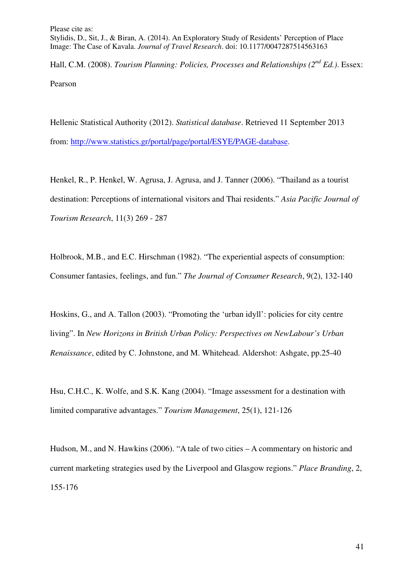Hall, C.M. (2008). *Tourism Planning: Policies, Processes and Relationships (2nd Ed.)*. Essex: Pearson

Hellenic Statistical Authority (2012). *Statistical database*. Retrieved 11 September 2013 from: http://www.statistics.gr/portal/page/portal/ESYE/PAGE-database.

Henkel, R., P. Henkel, W. Agrusa, J. Agrusa, and J. Tanner (2006). "Thailand as a tourist destination: Perceptions of international visitors and Thai residents." *Asia Pacific Journal of Tourism Research*, 11(3) 269 - 287

Holbrook, M.B., and E.C. Hirschman (1982). "The experiential aspects of consumption: Consumer fantasies, feelings, and fun." *The Journal of Consumer Research*, 9(2), 132-140

Hoskins, G., and A. Tallon (2003). "Promoting the 'urban idyll': policies for city centre living". In *New Horizons in British Urban Policy: Perspectives on NewLabour's Urban Renaissance*, edited by C. Johnstone, and M. Whitehead. Aldershot: Ashgate, pp.25-40

Hsu, C.H.C., K. Wolfe, and S.K. Kang (2004). "Image assessment for a destination with limited comparative advantages." *Tourism Management*, 25(1), 121-126

Hudson, M., and N. Hawkins (2006). "A tale of two cities – A commentary on historic and current marketing strategies used by the Liverpool and Glasgow regions." *Place Branding*, 2, 155-176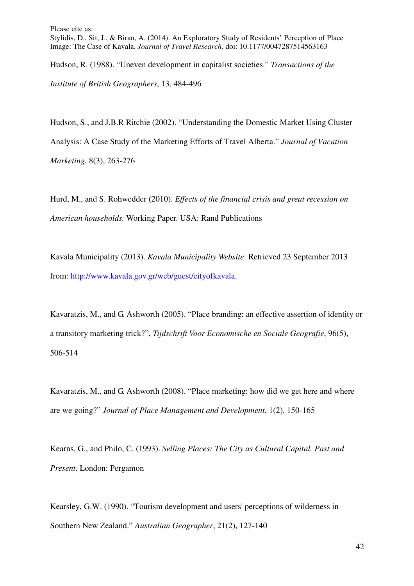Hudson, R. (1988). "Uneven development in capitalist societies." *Transactions of the Institute of British Geographers*, 13, 484-496

Hudson, S., and J.B.R Ritchie (2002). "Understanding the Domestic Market Using Cluster Analysis: A Case Study of the Marketing Efforts of Travel Alberta." *Journal of Vacation Marketing*, 8(3), 263-276

Hurd, M., and S. Rohwedder (2010). *Effects of the financial crisis and great recession on American households.* Working Paper. USA: Rand Publications

Kavala Municipality (2013). *Kavala Municipality Website*: Retrieved 23 September 2013 from: http://www.kavala.gov.gr/web/guest/cityofkavala.

Kavaratzis, M., and G. Ashworth (2005). "Place branding: an effective assertion of identity or a transitory marketing trick?", *Tijdschrift Voor Economische en Sociale Geografie*, 96(5), 506-514

Kavaratzis, M., and G. Ashworth (2008). "Place marketing: how did we get here and where are we going?" *Journal of Place Management and Development*, 1(2), 150-165

Kearns, G., and Philo, C. (1993). *Selling Places: The City as Cultural Capital, Past and Present*. London: Pergamon

Kearsley, G.W. (1990). "Tourism development and users' perceptions of wilderness in Southern New Zealand." *Australian Geographer*, 21(2), 127-140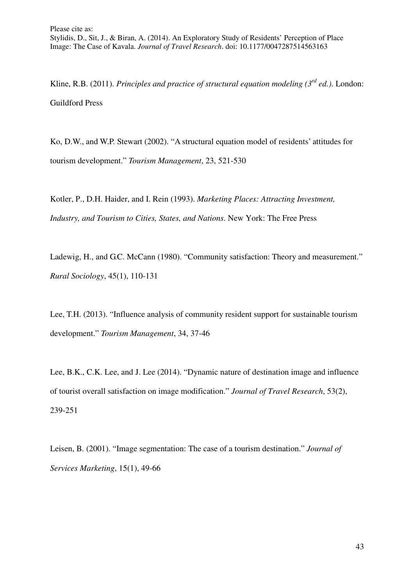Kline, R.B. (2011). *Principles and practice of structural equation modeling (3rd ed.)*. London: Guildford Press

Ko, D.W., and W.P. Stewart (2002). "A structural equation model of residents' attitudes for tourism development." *Tourism Management*, 23, 521-530

Kotler, P., D.H. Haider, and I. Rein (1993). *Marketing Places: Attracting Investment, Industry, and Tourism to Cities, States, and Nations*. New York: The Free Press

Ladewig, H., and G.C. McCann (1980). "Community satisfaction: Theory and measurement." *Rural Sociology*, 45(1), 110-131

Lee, T.H. (2013). "Influence analysis of community resident support for sustainable tourism development." *Tourism Management*, 34, 37-46

Lee, B.K., C.K. Lee, and J. Lee (2014). "Dynamic nature of destination image and influence of tourist overall satisfaction on image modification." *Journal of Travel Research*, 53(2), 239-251

Leisen, B. (2001). "Image segmentation: The case of a tourism destination." *Journal of Services Marketing*, 15(1), 49-66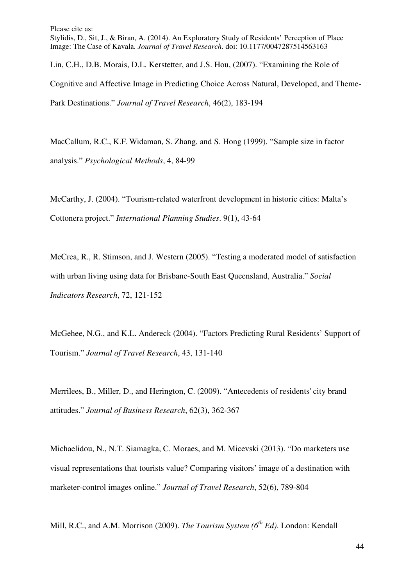Please cite as: Stylidis, D., Sit, J., & Biran, A. (2014). An Exploratory Study of Residents' Perception of Place Image: The Case of Kavala. *Journal of Travel Research*. doi: 10.1177/0047287514563163 Lin, C.H., D.B. Morais, D.L. Kerstetter, and J.S. Hou, (2007). "Examining the Role of Cognitive and Affective Image in Predicting Choice Across Natural, Developed, and Theme-Park Destinations." *Journal of Travel Research*, 46(2), 183-194

MacCallum, R.C., K.F. Widaman, S. Zhang, and S. Hong (1999). "Sample size in factor analysis." *Psychological Methods*, 4, 84-99

McCarthy, J. (2004). "Tourism-related waterfront development in historic cities: Malta's Cottonera project." *International Planning Studies*. 9(1), 43-64

McCrea, R., R. Stimson, and J. Western (2005). "Testing a moderated model of satisfaction with urban living using data for Brisbane-South East Queensland, Australia." *Social Indicators Research*, 72, 121-152

McGehee, N.G., and K.L. Andereck (2004). "Factors Predicting Rural Residents' Support of Tourism." *Journal of Travel Research*, 43, 131-140

Merrilees, B., Miller, D., and Herington, C. (2009). "Antecedents of residents' city brand attitudes." *Journal of Business Research*, 62(3), 362-367

Michaelidou, N., N.T. Siamagka, C. Moraes, and M. Micevski (2013). "Do marketers use visual representations that tourists value? Comparing visitors' image of a destination with marketer-control images online." *Journal of Travel Research*, 52(6), 789-804

Mill, R.C., and A.M. Morrison (2009). *The Tourism System (6th Ed)*. London: Kendall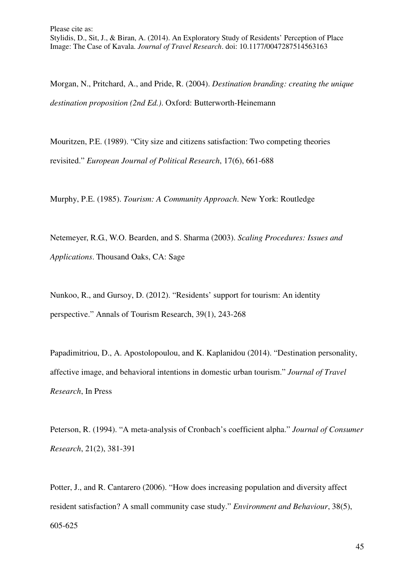Morgan, N., Pritchard, A., and Pride, R. (2004). *Destination branding: creating the unique destination proposition (2nd Ed.)*. Oxford: Butterworth-Heinemann

Mouritzen, P.E. (1989). "City size and citizens satisfaction: Two competing theories revisited." *European Journal of Political Research*, 17(6), 661-688

Murphy, P.E. (1985). *Tourism: A Community Approach*. New York: Routledge

Netemeyer, R.G., W.O. Bearden, and S. Sharma (2003). *Scaling Procedures: Issues and Applications*. Thousand Oaks, CA: Sage

Nunkoo, R., and Gursoy, D. (2012). "Residents' support for tourism: An identity perspective." Annals of Tourism Research, 39(1), 243-268

Papadimitriou, D., A. Apostolopoulou, and K. Kaplanidou (2014). "Destination personality, affective image, and behavioral intentions in domestic urban tourism." *Journal of Travel Research*, In Press

Peterson, R. (1994). "A meta-analysis of Cronbach's coefficient alpha." *Journal of Consumer Research*, 21(2), 381-391

Potter, J., and R. Cantarero (2006). "How does increasing population and diversity affect resident satisfaction? A small community case study." *Environment and Behaviour*, 38(5), 605-625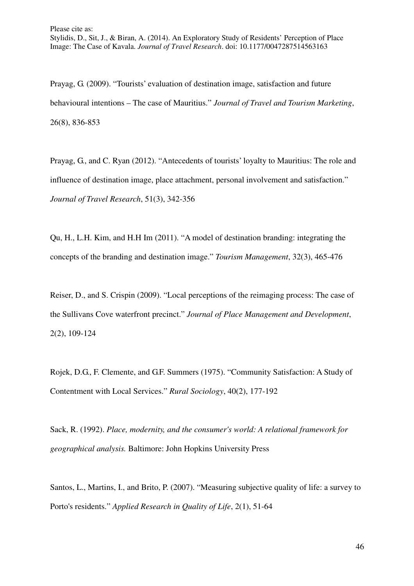Prayag, G. (2009). "Tourists' evaluation of destination image, satisfaction and future behavioural intentions – The case of Mauritius." *Journal of Travel and Tourism Marketing*, 26(8), 836-853

Prayag, G., and C. Ryan (2012). "Antecedents of tourists' loyalty to Mauritius: The role and influence of destination image, place attachment, personal involvement and satisfaction." *Journal of Travel Research*, 51(3), 342-356

Qu, H., L.H. Kim, and H.H Im (2011). "A model of destination branding: integrating the concepts of the branding and destination image." *Tourism Management*, 32(3), 465-476

Reiser, D., and S. Crispin (2009). "Local perceptions of the reimaging process: The case of the Sullivans Cove waterfront precinct." *Journal of Place Management and Development*, 2(2), 109-124

Rojek, D.G., F. Clemente, and G.F. Summers (1975). "Community Satisfaction: A Study of Contentment with Local Services." *Rural Sociology*, 40(2), 177-192

Sack, R. (1992). *Place, modernity, and the consumer's world: A relational framework for geographical analysis.* Baltimore: John Hopkins University Press

Santos, L., Martins, I., and Brito, P. (2007). "Measuring subjective quality of life: a survey to Porto's residents." *Applied Research in Quality of Life*, 2(1), 51-64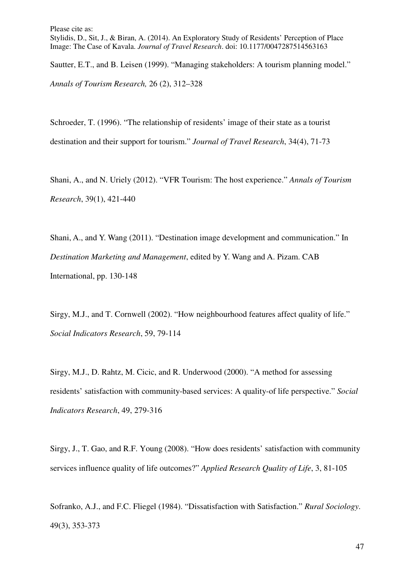Stylidis, D., Sit, J., & Biran, A. (2014). An Exploratory Study of Residents' Perception of Place Image: The Case of Kavala. *Journal of Travel Research*. doi: 10.1177/0047287514563163

Sautter, E.T., and B. Leisen (1999). "Managing stakeholders: A tourism planning model." *Annals of Tourism Research,* 26 (2), 312–328

Schroeder, T. (1996). "The relationship of residents' image of their state as a tourist destination and their support for tourism." *Journal of Travel Research*, 34(4), 71-73

Shani, A., and N. Uriely (2012). "VFR Tourism: The host experience." *Annals of Tourism Research*, 39(1), 421-440

Shani, A., and Y. Wang (2011). "Destination image development and communication." In *Destination Marketing and Management*, edited by Y. Wang and A. Pizam. CAB International, pp. 130-148

Sirgy, M.J., and T. Cornwell (2002). "How neighbourhood features affect quality of life." *Social Indicators Research*, 59, 79-114

Sirgy, M.J., D. Rahtz, M. Cicic, and R. Underwood (2000). "A method for assessing residents' satisfaction with community-based services: A quality-of life perspective." *Social Indicators Research*, 49, 279-316

Sirgy, J., T. Gao, and R.F. Young (2008). "How does residents' satisfaction with community services influence quality of life outcomes?" *Applied Research Quality of Life*, 3, 81-105

Sofranko, A.J., and F.C. Fliegel (1984). "Dissatisfaction with Satisfaction." *Rural Sociology*. 49(3), 353-373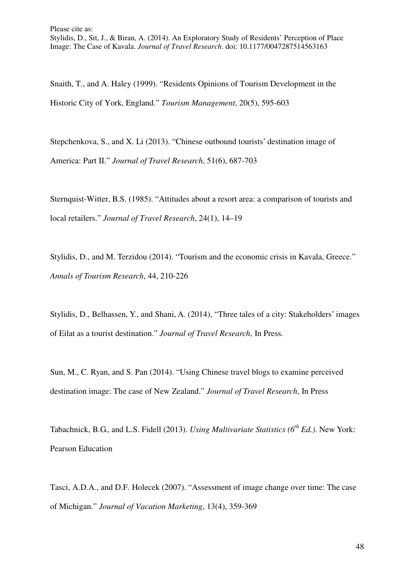Snaith, T., and A. Haley (1999). "Residents Opinions of Tourism Development in the Historic City of York, England." *Tourism Management*, 20(5), 595-603

Stepchenkova, S., and X. Li (2013). "Chinese outbound tourists' destination image of America: Part II." *Journal of Travel Research*, 51(6), 687-703

Sternquist-Witter, B.S. (1985). "Attitudes about a resort area: a comparison of tourists and local retailers." *Journal of Travel Research*, 24(1), 14–19

Stylidis, D., and M. Terzidou (2014). "Tourism and the economic crisis in Kavala, Greece." *Annals of Tourism Research*, 44, 210-226

Stylidis, D., Belhassen, Y., and Shani, A. (2014), "Three tales of a city: Stakeholders' images of Eilat as a tourist destination." *Journal of Travel Research*, In Press*.*

Sun, M., C. Ryan, and S. Pan (2014). "Using Chinese travel blogs to examine perceived destination image: The case of New Zealand." *Journal of Travel Research*, In Press

Tabachnick, B.G., and L.S. Fidell (2013). *Using Multivariate Statistics (6th Ed.)*. New York: Pearson Education

Tasci, A.D.A., and D.F. Holecek (2007). "Assessment of image change over time: The case of Michigan." *Journal of Vacation Marketing*, 13(4), 359-369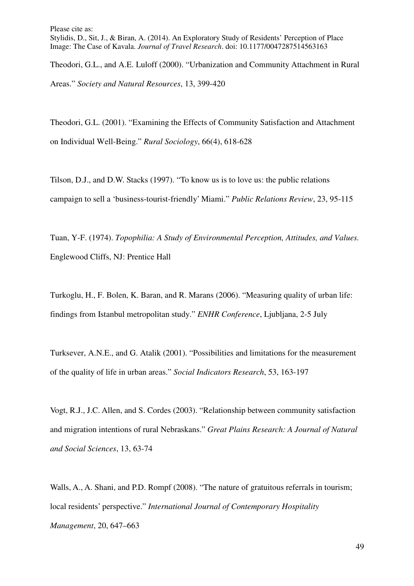Theodori, G.L., and A.E. Luloff (2000). "Urbanization and Community Attachment in Rural Areas." *Society and Natural Resources*, 13, 399-420

Theodori, G.L. (2001). "Examining the Effects of Community Satisfaction and Attachment on Individual Well-Being." *Rural Sociology*, 66(4), 618-628

Tilson, D.J., and D.W. Stacks (1997). "To know us is to love us: the public relations campaign to sell a 'business-tourist-friendly' Miami." *Public Relations Review*, 23, 95-115

Tuan, Y-F. (1974). *Topophilia: A Study of Environmental Perception, Attitudes, and Values.*  Englewood Cliffs, NJ: Prentice Hall

Turkoglu, H., F. Bolen, K. Baran, and R. Marans (2006). "Measuring quality of urban life: findings from Istanbul metropolitan study." *ENHR Conference*, Ljubljana, 2-5 July

Turksever, A.N.E., and G. Atalik (2001). "Possibilities and limitations for the measurement of the quality of life in urban areas." *Social Indicators Research*, 53, 163-197

Vogt, R.J., J.C. Allen, and S. Cordes (2003). "Relationship between community satisfaction and migration intentions of rural Nebraskans." *Great Plains Research: A Journal of Natural and Social Sciences*, 13, 63-74

Walls, A., A. Shani, and P.D. Rompf (2008). "The nature of gratuitous referrals in tourism; local residents' perspective." *International Journal of Contemporary Hospitality Management*, 20, 647–663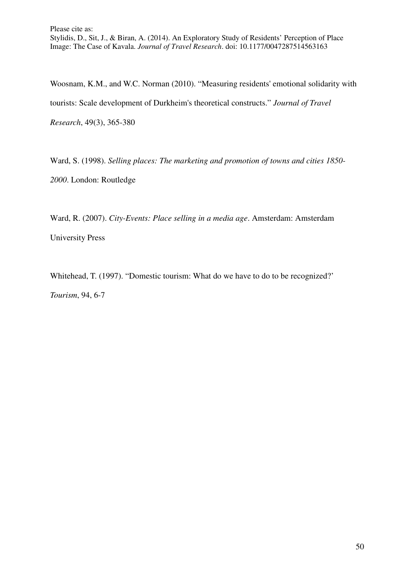Woosnam, K.M., and W.C. Norman (2010). "Measuring residents' emotional solidarity with tourists: Scale development of Durkheim's theoretical constructs." *Journal of Travel Research*, 49(3), 365-380

Ward, S. (1998). *Selling places: The marketing and promotion of towns and cities 1850- 2000*. London: Routledge

Ward, R. (2007). *City-Events: Place selling in a media age*. Amsterdam: Amsterdam University Press

Whitehead, T. (1997). "Domestic tourism: What do we have to do to be recognized?' *Tourism*, 94, 6-7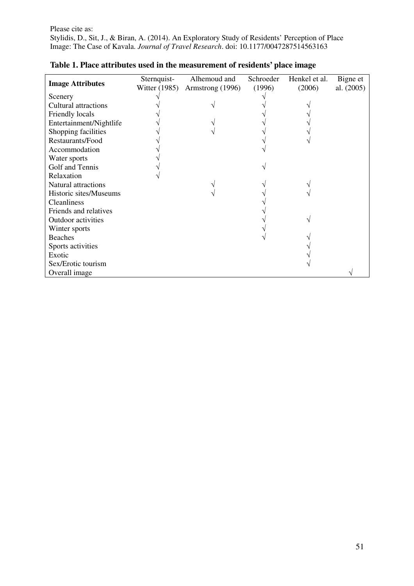| <b>Image Attributes</b>     | Sternquist-          | Alhemoud and     | Schroeder | Henkel et al. | Bigne et     |
|-----------------------------|----------------------|------------------|-----------|---------------|--------------|
|                             | <b>Witter</b> (1985) | Armstrong (1996) | (1996)    | (2006)        | al. $(2005)$ |
| Scenery                     |                      |                  |           |               |              |
| <b>Cultural attractions</b> |                      |                  |           |               |              |
| Friendly locals             |                      |                  |           |               |              |
| Entertainment/Nightlife     |                      |                  |           |               |              |
| Shopping facilities         |                      |                  |           |               |              |
| Restaurants/Food            |                      |                  |           |               |              |
| Accommodation               |                      |                  |           |               |              |
| Water sports                |                      |                  |           |               |              |
| Golf and Tennis             |                      |                  |           |               |              |
| Relaxation                  |                      |                  |           |               |              |
| <b>Natural attractions</b>  |                      |                  |           |               |              |
| Historic sites/Museums      |                      |                  |           |               |              |
| <b>Cleanliness</b>          |                      |                  |           |               |              |
| Friends and relatives       |                      |                  |           |               |              |
| <b>Outdoor</b> activities   |                      |                  |           |               |              |
| Winter sports               |                      |                  |           |               |              |
| <b>Beaches</b>              |                      |                  |           |               |              |
| Sports activities           |                      |                  |           |               |              |
| Exotic                      |                      |                  |           |               |              |
| Sex/Erotic tourism          |                      |                  |           |               |              |
| Overall image               |                      |                  |           |               |              |

# **Table 1. Place attributes used in the measurement of residents' place image**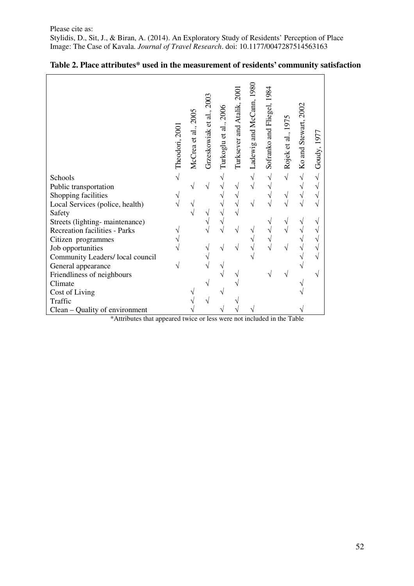|                                  | Theodori, 2001 | McCrea et al., 2005 | Grzeskowiak et al., 2003 | Turkoglu et al., 2006 | Turksever and Atalik, 2007 | Ladewig and McCann, 1980 | 1984<br>Sofranko and Fliegel, | Rojek et al., 1975 | Ko and Stewart, 2002 | Goudy, 1977 |
|----------------------------------|----------------|---------------------|--------------------------|-----------------------|----------------------------|--------------------------|-------------------------------|--------------------|----------------------|-------------|
| Schools                          | $\sqrt{ }$     |                     |                          |                       |                            | $\sqrt{}$                | V                             | $\sqrt{}$          | $\sqrt{}$            | $\sqrt{2}$  |
| Public transportation            |                |                     |                          |                       |                            |                          |                               |                    | V                    | $\sqrt{}$   |
| Shopping facilities              |                |                     |                          |                       |                            |                          |                               |                    | V                    | $\sqrt{}$   |
| Local Services (police, health)  |                |                     |                          |                       |                            |                          |                               |                    | V                    | $\sqrt{ }$  |
| Safety                           |                |                     |                          |                       |                            |                          |                               |                    |                      |             |
| Streets (lighting-maintenance)   |                |                     |                          |                       |                            |                          |                               |                    |                      | V           |
| Recreation facilities - Parks    |                |                     |                          |                       |                            |                          |                               |                    |                      | V           |
| Citizen programmes               |                |                     |                          |                       |                            |                          |                               |                    |                      | $\sqrt{}$   |
| Job opportunities                |                |                     |                          |                       |                            |                          |                               |                    |                      | $\sqrt{}$   |
| Community Leaders/ local council |                |                     |                          |                       |                            |                          |                               |                    |                      | $\sqrt{}$   |
| General appearance               |                |                     |                          |                       |                            |                          |                               |                    |                      |             |
| Friendliness of neighbours       |                |                     |                          |                       |                            |                          |                               |                    |                      | V           |
| Climate                          |                |                     |                          |                       |                            |                          |                               |                    |                      |             |
| Cost of Living                   |                |                     |                          |                       |                            |                          |                               |                    |                      |             |
| Traffic                          |                |                     |                          |                       |                            |                          |                               |                    |                      |             |
| Clean – Quality of environment   |                |                     |                          |                       |                            |                          |                               |                    |                      |             |

# **Table 2. Place attributes\* used in the measurement of residents' community satisfaction**

\*Attributes that appeared twice or less were not included in the Table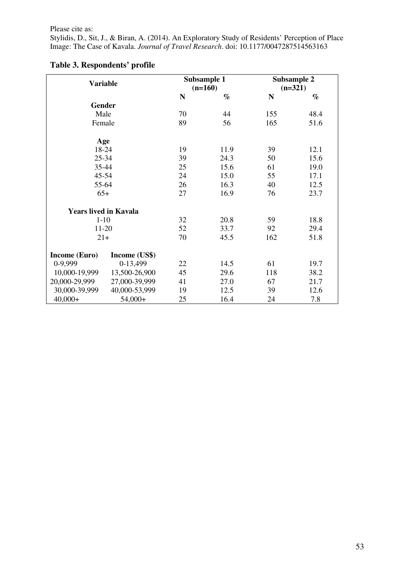Stylidis, D., Sit, J., & Biran, A. (2014). An Exploratory Study of Residents' Perception of Place Image: The Case of Kavala. *Journal of Travel Research*. doi: 10.1177/0047287514563163

| <b>Variable</b>              |               |           | Subsample 1<br>$(n=160)$ | Subsample 2<br>$(n=321)$ |      |  |
|------------------------------|---------------|-----------|--------------------------|--------------------------|------|--|
|                              |               | ${\bf N}$ | $\%$                     | $\mathbf N$              | $\%$ |  |
| Gender                       |               |           |                          |                          |      |  |
| Male                         |               | 70        | 44                       | 155                      | 48.4 |  |
| Female                       |               | 89        | 56                       | 165                      | 51.6 |  |
| Age                          |               |           |                          |                          |      |  |
| 18-24                        |               | 19        | 11.9                     | 39                       | 12.1 |  |
| 25-34                        |               | 39        | 24.3                     | 50                       | 15.6 |  |
| 35-44                        |               | 25        | 15.6                     | 61                       | 19.0 |  |
| 45-54                        |               | 24        | 15.0                     | 55                       | 17.1 |  |
| 55-64                        |               | 26        | 16.3                     | 40                       | 12.5 |  |
| $65+$                        |               | 27        | 16.9                     | 76                       | 23.7 |  |
| <b>Years lived in Kavala</b> |               |           |                          |                          |      |  |
| $1 - 10$                     |               | 32        | 20.8                     | 59                       | 18.8 |  |
| 11-20                        |               | 52        | 33.7                     | 92                       | 29.4 |  |
| $21+$                        |               | 70        | 45.5                     | 162                      | 51.8 |  |
| <b>Income (Euro)</b>         | Income (US\$) |           |                          |                          |      |  |
| 0-9,999                      | 0-13,499      | 22        | 14.5                     | 61                       | 19.7 |  |
| 10,000-19,999                | 13,500-26,900 | 45        | 29.6                     | 118                      | 38.2 |  |
| 20,000-29,999                | 27,000-39,999 | 41        | 27.0                     | 67                       | 21.7 |  |
| 30,000-39,999                | 40,000-53,999 | 19        | 12.5                     | 39                       | 12.6 |  |
| $40,000+$                    | $54,000+$     | 25        | 16.4                     | 24                       | 7.8  |  |

# **Table 3. Respondents' profile**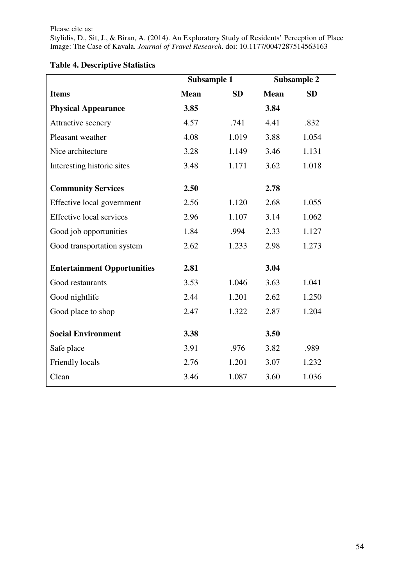Stylidis, D., Sit, J., & Biran, A. (2014). An Exploratory Study of Residents' Perception of Place Image: The Case of Kavala. *Journal of Travel Research*. doi: 10.1177/0047287514563163

|                                    | Subsample 1 |           |             | <b>Subsample 2</b> |
|------------------------------------|-------------|-----------|-------------|--------------------|
| <b>Items</b>                       | <b>Mean</b> | <b>SD</b> | <b>Mean</b> | <b>SD</b>          |
| <b>Physical Appearance</b>         | 3.85        |           | 3.84        |                    |
| Attractive scenery                 | 4.57        | .741      | 4.41        | .832               |
| Pleasant weather                   | 4.08        | 1.019     | 3.88        | 1.054              |
| Nice architecture                  | 3.28        | 1.149     | 3.46        | 1.131              |
| Interesting historic sites         | 3.48        | 1.171     | 3.62        | 1.018              |
| <b>Community Services</b>          | 2.50        |           | 2.78        |                    |
| Effective local government         | 2.56        | 1.120     | 2.68        | 1.055              |
| <b>Effective local services</b>    | 2.96        | 1.107     | 3.14        | 1.062              |
| Good job opportunities             | 1.84        | .994      | 2.33        | 1.127              |
| Good transportation system         | 2.62        | 1.233     | 2.98        | 1.273              |
| <b>Entertainment Opportunities</b> | 2.81        |           | 3.04        |                    |
| Good restaurants                   | 3.53        | 1.046     | 3.63        | 1.041              |
| Good nightlife                     | 2.44        | 1.201     | 2.62        | 1.250              |
| Good place to shop                 | 2.47        | 1.322     | 2.87        | 1.204              |
| <b>Social Environment</b>          | 3.38        |           | 3.50        |                    |
| Safe place                         | 3.91        | .976      | 3.82        | .989               |
| Friendly locals                    | 2.76        | 1.201     | 3.07        | 1.232              |
| Clean                              | 3.46        | 1.087     | 3.60        | 1.036              |

# **Table 4. Descriptive Statistics**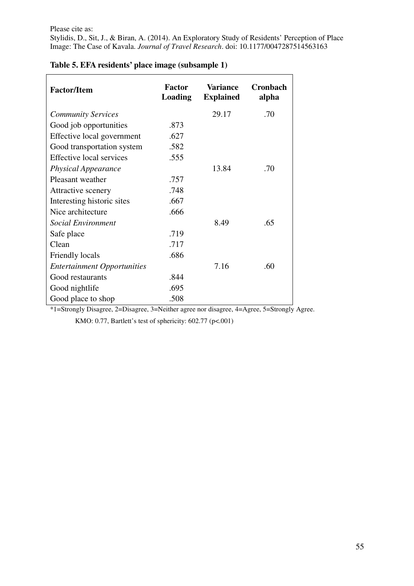| <b>Factor/Item</b>                 | <b>Factor</b><br>Loading | <b>Variance</b><br><b>Explained</b> | Cronbach<br>alpha |
|------------------------------------|--------------------------|-------------------------------------|-------------------|
| <b>Community Services</b>          |                          | 29.17                               | .70               |
| Good job opportunities             | .873                     |                                     |                   |
| Effective local government         | .627                     |                                     |                   |
| Good transportation system         | .582                     |                                     |                   |
| <b>Effective local services</b>    | .555                     |                                     |                   |
| <b>Physical Appearance</b>         |                          | 13.84                               | .70               |
| Pleasant weather                   | .757                     |                                     |                   |
| Attractive scenery                 | .748                     |                                     |                   |
| Interesting historic sites         | .667                     |                                     |                   |
| Nice architecture                  | .666                     |                                     |                   |
| <b>Social Environment</b>          |                          | 8.49                                | .65               |
| Safe place                         | .719                     |                                     |                   |
| Clean                              | .717                     |                                     |                   |
| Friendly locals                    | .686                     |                                     |                   |
| <b>Entertainment Opportunities</b> |                          | 7.16                                | .60               |
| Good restaurants                   | .844                     |                                     |                   |
| Good nightlife                     | .695                     |                                     |                   |
| Good place to shop                 | .508                     |                                     |                   |

## **Table 5. EFA residents' place image (subsample 1)**

\*1=Strongly Disagree, 2=Disagree, 3=Neither agree nor disagree, 4=Agree, 5=Strongly Agree.

KMO: 0.77, Bartlett's test of sphericity: 602.77 (p<.001)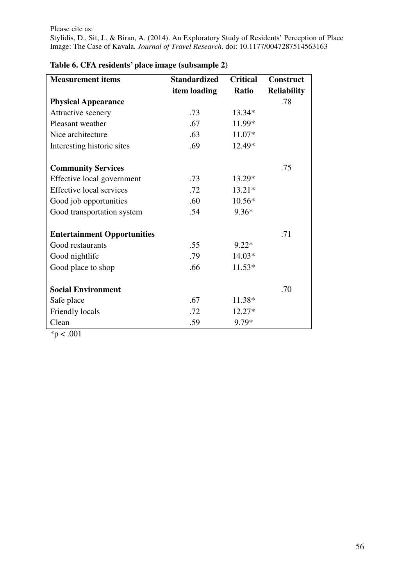| <b>Measurement items</b>           | <b>Standardized</b> | <b>Critical</b> | <b>Construct</b>   |
|------------------------------------|---------------------|-----------------|--------------------|
|                                    | item loading        | <b>Ratio</b>    | <b>Reliability</b> |
| <b>Physical Appearance</b>         |                     |                 | .78                |
| Attractive scenery                 | .73                 | 13.34*          |                    |
| Pleasant weather                   | .67                 | 11.99*          |                    |
| Nice architecture                  | .63                 | 11.07*          |                    |
| Interesting historic sites         | .69                 | 12.49*          |                    |
|                                    |                     |                 |                    |
| <b>Community Services</b>          |                     |                 | .75                |
| Effective local government         | .73                 | 13.29*          |                    |
| <b>Effective local services</b>    | .72                 | $13.21*$        |                    |
| Good job opportunities             | .60                 | $10.56*$        |                    |
| Good transportation system         | .54                 | $9.36*$         |                    |
|                                    |                     |                 |                    |
| <b>Entertainment Opportunities</b> |                     |                 | .71                |
| Good restaurants                   | .55                 | $9.22*$         |                    |
| Good nightlife                     | .79                 | 14.03*          |                    |
| Good place to shop                 | .66                 | $11.53*$        |                    |
|                                    |                     |                 |                    |
| <b>Social Environment</b>          |                     |                 | .70                |
| Safe place                         | .67                 | 11.38*          |                    |
| Friendly locals                    | .72                 | 12.27*          |                    |
| Clean                              | .59                 | 9.79*           |                    |

# **Table 6. CFA residents' place image (subsample 2)**

 $*p < .001$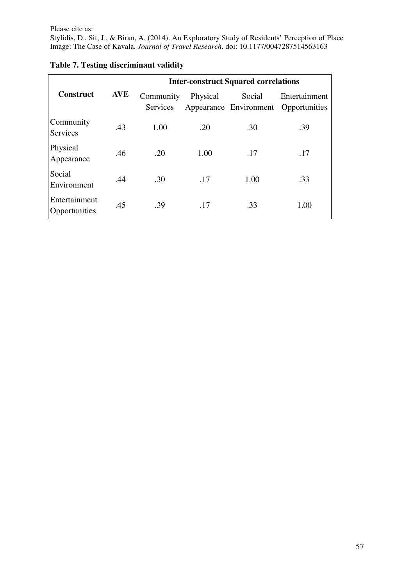Stylidis, D., Sit, J., & Biran, A. (2014). An Exploratory Study of Residents' Perception of Place Image: The Case of Kavala. *Journal of Travel Research*. doi: 10.1177/0047287514563163

|                                |            |                       |          | <b>Inter-construct Squared correlations</b> |                                                       |
|--------------------------------|------------|-----------------------|----------|---------------------------------------------|-------------------------------------------------------|
| <b>Construct</b>               | <b>AVE</b> | Community<br>Services | Physical | Social                                      | Entertainment<br>Appearance Environment Opportunities |
| Community<br><b>Services</b>   | .43        | 1.00                  | .20      | .30                                         | .39                                                   |
| Physical<br>Appearance         | .46        | .20                   | 1.00     | .17                                         | .17                                                   |
| Social<br>Environment          | .44        | .30                   | .17      | 1.00                                        | .33                                                   |
| Entertainment<br>Opportunities | .45        | .39                   | .17      | .33                                         | 1.00                                                  |

# **Table 7. Testing discriminant validity**